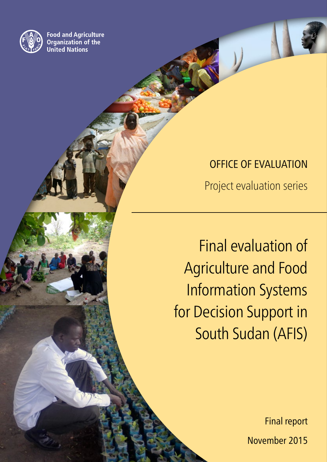

**Food and Agriculture Organization of the United Nations** 

> OFFICE OF EVALUATION Project evaluation series

 Final evaluation of Agriculture and Food Information Systems for Decision Support in South Sudan (AFIS)

> Final report November 2015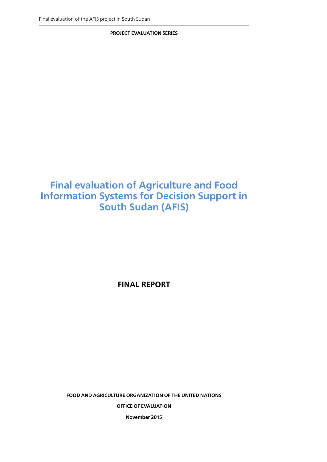**PROJECT EVALUATION SERIES**

## **Final evaluation of Agriculture and Food Information Systems for Decision Support in South Sudan (AFIS)**

**FINAL REPORT**

**FOOD AND AGRICULTURE ORGANIZATION OF THE UNITED NATIONS**

**OFFICE OF EVALUATION**

**November 2015**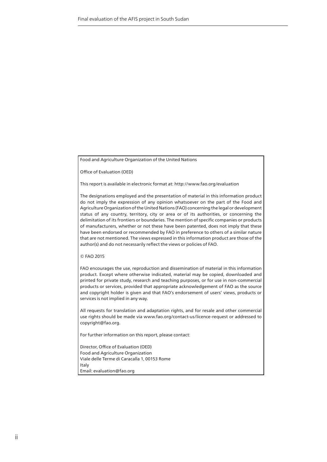Food and Agriculture Organization of the United Nations

Office of Evaluation (OED)

This report is available in electronic format at: http://www.fao.org/evaluation

The designations employed and the presentation of material in this information product do not imply the expression of any opinion whatsoever on the part of the Food and Agriculture Organization of the United Nations (FAO) concerning the legal or development status of any country, territory, city or area or of its authorities, or concerning the delimitation of its frontiers or boundaries. The mention of specific companies or products of manufacturers, whether or not these have been patented, does not imply that these have been endorsed or recommended by FAO in preference to others of a similar nature that are not mentioned. The views expressed in this information product are those of the author(s) and do not necessarily reflect the views or policies of FAO.

© FAO 2015

FAO encourages the use, reproduction and dissemination of material in this information product. Except where otherwise indicated, material may be copied, downloaded and printed for private study, research and teaching purposes, or for use in non-commercial products or services, provided that appropriate acknowledgement of FAO as the source and copyright holder is given and that FAO's endorsement of users' views, products or services is not implied in any way.

All requests for translation and adaptation rights, and for resale and other commercial use rights should be made via www.fao.org/contact-us/licence-request or addressed to copyright@fao.org.

For further information on this report, please contact:

Director, Office of Evaluation (OED) Food and Agriculture Organization Viale delle Terme di Caracalla 1, 00153 Rome Italy Email: evaluation@fao.org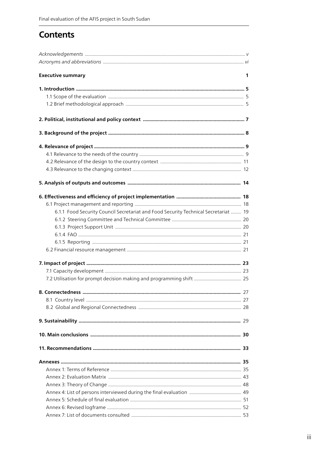## **Contents**

| <b>Executive summary</b>                                                            | 1 |
|-------------------------------------------------------------------------------------|---|
|                                                                                     |   |
|                                                                                     |   |
|                                                                                     |   |
|                                                                                     |   |
|                                                                                     |   |
|                                                                                     |   |
|                                                                                     |   |
|                                                                                     |   |
|                                                                                     |   |
|                                                                                     |   |
|                                                                                     |   |
|                                                                                     |   |
| 6.1.1 Food Security Council Secretariat and Food Security Technical Secretariat  19 |   |
|                                                                                     |   |
|                                                                                     |   |
|                                                                                     |   |
|                                                                                     |   |
|                                                                                     |   |
|                                                                                     |   |
|                                                                                     |   |
|                                                                                     |   |
|                                                                                     |   |
|                                                                                     |   |
|                                                                                     |   |
|                                                                                     |   |
|                                                                                     |   |
|                                                                                     |   |
|                                                                                     |   |
|                                                                                     |   |
|                                                                                     |   |
|                                                                                     |   |
|                                                                                     |   |
|                                                                                     |   |
|                                                                                     |   |
|                                                                                     |   |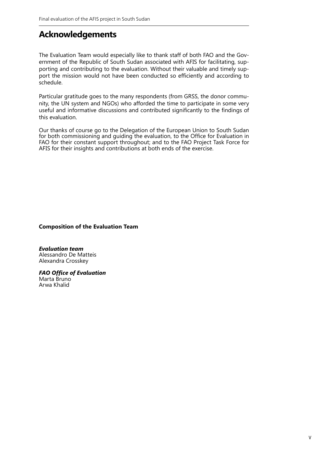## **Acknowledgements**

The Evaluation Team would especially like to thank staff of both FAO and the Government of the Republic of South Sudan associated with AFIS for facilitating, supporting and contributing to the evaluation. Without their valuable and timely support the mission would not have been conducted so efficiently and according to schedule.

Particular gratitude goes to the many respondents (from GRSS, the donor community, the UN system and NGOs) who afforded the time to participate in some very useful and informative discussions and contributed significantly to the findings of this evaluation.

Our thanks of course go to the Delegation of the European Union to South Sudan for both commissioning and guiding the evaluation, to the Office for Evaluation in FAO for their constant support throughout; and to the FAO Project Task Force for AFIS for their insights and contributions at both ends of the exercise.

**Composition of the Evaluation Team**

*Evaluation team* Alessandro De Matteis Alexandra Crosskey

*FAO Office of Evaluation* Marta Bruno Arwa Khalid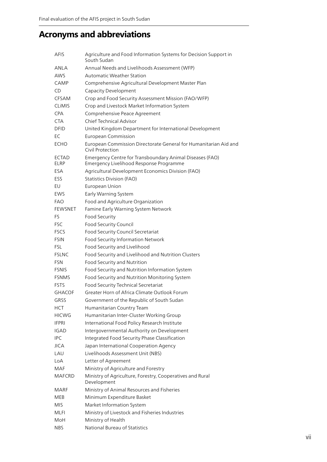## **Acronyms and abbreviations**

| AFIS                 | Agriculture and Food Information Systems for Decision Support in<br>South Sudan                     |
|----------------------|-----------------------------------------------------------------------------------------------------|
| ANLA                 | Annual Needs and Livelihoods Assessment (WFP)                                                       |
| AWS                  | <b>Automatic Weather Station</b>                                                                    |
| CAMP                 | Comprehensive Agricultural Development Master Plan                                                  |
| CD                   | Capacity Development                                                                                |
| CFSAM                | Crop and Food Security Assessment Mission (FAO/WFP)                                                 |
| <b>CLIMIS</b>        | Crop and Livestock Market Information System                                                        |
| CPA                  | Comprehensive Peace Agreement                                                                       |
| <b>CTA</b>           | Chief Technical Advisor                                                                             |
| <b>DFID</b>          | United Kingdom Department for International Development                                             |
| EC                   | <b>European Commission</b>                                                                          |
| ECHO                 | European Commission Directorate General for Humanitarian Aid and                                    |
|                      | Civil Protection                                                                                    |
| <b>ECTAD</b><br>ELRP | Emergency Centre for Transboundary Animal Diseases (FAO)<br>Emergency Livelihood Response Programme |
| ESA                  | Agricultural Development Economics Division (FAO)                                                   |
| <b>ESS</b>           | <b>Statistics Division (FAO)</b>                                                                    |
| EU                   | European Union                                                                                      |
| EWS                  | Early Warning System                                                                                |
| <b>FAO</b>           | Food and Agriculture Organization                                                                   |
| <b>FEWSNET</b>       | Famine Early Warning System Network                                                                 |
| FS                   | Food Security                                                                                       |
| <b>FSC</b>           | Food Security Council                                                                               |
| <b>FSCS</b>          | Food Security Council Secretariat                                                                   |
| <b>FSIN</b>          | Food Security Information Network                                                                   |
| <b>FSL</b>           | Food Security and Livelihood                                                                        |
| <b>FSLNC</b>         | Food Security and Livelihood and Nutrition Clusters                                                 |
| <b>FSN</b>           | Food Security and Nutrition                                                                         |
| <b>FSNIS</b>         | Food Security and Nutrition Information System                                                      |
| <b>FSNMS</b>         | Food Security and Nutrition Monitoring System                                                       |
| <b>FSTS</b>          | Food Security Technical Secretariat                                                                 |
| <b>GHACOF</b>        | Greater Horn of Africa Climate Outlook Forum                                                        |
| GRSS                 | Government of the Republic of South Sudan                                                           |
| HCT                  | Humanitarian Country Team                                                                           |
| <b>HICWG</b>         | Humanitarian Inter-Cluster Working Group                                                            |
| <b>IFPRI</b>         | International Food Policy Research Institute                                                        |
| <b>IGAD</b>          | Intergovernmental Authority on Development                                                          |
| <b>IPC</b>           | Integrated Food Security Phase Classification                                                       |
| JICA                 | Japan International Cooperation Agency                                                              |
| LAU                  | Livelihoods Assessment Unit (NBS)                                                                   |
| LoA                  | Letter of Agreement                                                                                 |
| MAF                  | Ministry of Agriculture and Forestry                                                                |
| <b>MAFCRD</b>        | Ministry of Agriculture, Forestry, Cooperatives and Rural<br>Development                            |
| MARF                 | Ministry of Animal Resources and Fisheries                                                          |
| MEB                  | Minimum Expenditure Basket                                                                          |
| <b>MIS</b>           | Market Information System                                                                           |
| MLFI                 | Ministry of Livestock and Fisheries Industries                                                      |
| MoH                  | Ministry of Health                                                                                  |
| NBS                  | National Bureau of Statistics                                                                       |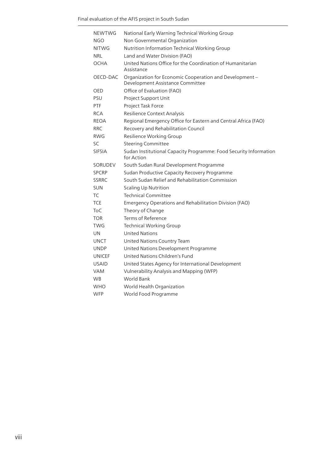| <b>NEWTWG</b> | National Early Warning Technical Working Group                                              |
|---------------|---------------------------------------------------------------------------------------------|
| <b>NGO</b>    | Non Governmental Organization                                                               |
| <b>NITWG</b>  | Nutrition Information Technical Working Group                                               |
| NRL           | Land and Water Division (FAO)                                                               |
| OCHA          | United Nations Office for the Coordination of Humanitarian<br>Assistance                    |
| OECD-DAC      | Organization for Economic Cooperation and Development -<br>Development Assistance Committee |
| OED           | Office of Evaluation (FAO)                                                                  |
| PSU           | Project Support Unit                                                                        |
| <b>PTF</b>    | Project Task Force                                                                          |
| <b>RCA</b>    | Resilience Context Analysis                                                                 |
| <b>REOA</b>   | Regional Emergency Office for Eastern and Central Africa (FAO)                              |
| <b>RRC</b>    | Recovery and Rehabilitation Council                                                         |
| <b>RWG</b>    | Resilience Working Group                                                                    |
| SC            | <b>Steering Committee</b>                                                                   |
| <b>SIFSIA</b> | Sudan Institutional Capacity Programme: Food Security Information<br>for Action             |
| SORUDEV       | South Sudan Rural Development Programme                                                     |
| <b>SPCRP</b>  | Sudan Productive Capacity Recovery Programme                                                |
| <b>SSRRC</b>  | South Sudan Relief and Rehabilitation Commission                                            |
| <b>SUN</b>    | <b>Scaling Up Nutrition</b>                                                                 |
| TC            | <b>Technical Committee</b>                                                                  |
| <b>TCE</b>    | Emergency Operations and Rehabilitation Division (FAO)                                      |
| <b>ToC</b>    | Theory of Change                                                                            |
| <b>TOR</b>    | Terms of Reference                                                                          |
| <b>TWG</b>    | <b>Technical Working Group</b>                                                              |
| UN            | <b>United Nations</b>                                                                       |
| UNCT          | United Nations Country Team                                                                 |
| UNDP          | United Nations Development Programme                                                        |
| <b>UNICEF</b> | United Nations Children's Fund                                                              |
| <b>USAID</b>  | United States Agency for International Development                                          |
| <b>VAM</b>    | Vulnerability Analysis and Mapping (WFP)                                                    |
| <b>WB</b>     | World Bank                                                                                  |
| <b>WHO</b>    | World Health Organization                                                                   |
| <b>WFP</b>    | World Food Programme                                                                        |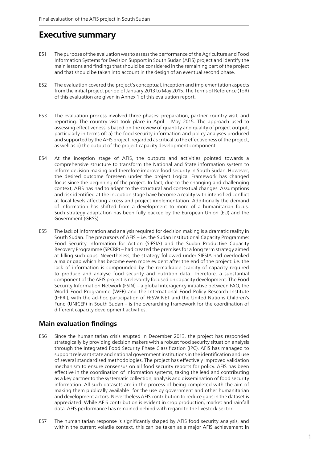## **Executive summary**

- ES1 The purpose of the evaluation was to assess the performance of the Agriculture and Food Information Systems for Decision Support in South Sudan (AFIS) project and identify the main lessons and findings that should be considered in the remaining part of the project and that should be taken into account in the design of an eventual second phase.
- ES2 The evaluation covered the project's conceptual, inception and implementation aspects from the initial project period of January 2013 to May 2015. The Terms of Reference (ToR) of this evaluation are given in Annex 1 of this evaluation report.
- ES3 The evaluation process involved three phases: preparation, partner country visit, and reporting. The country visit took place in April – May 2015. The approach used to assessing effectiveness is based on the review of quantity and quality of project output, particularly in terms of: a) the food security information and policy analyses produced and supported by the AFIS project, regarded as critical to the effectiveness of the project, as well as b) the output of the project capacity development component.
- ES4 At the inception stage of AFIS, the outputs and activities pointed towards a comprehensive structure to transform the National and State information system to inform decision making and therefore improve food security in South Sudan. However, the desired outcome foreseen under the project Logical Framework has changed focus since the beginning of the project. In fact, due to the changing and challenging context, AFIS has had to adapt to the structural and contextual changes. Assumptions and risk identified at the inception stage have become a reality with intensified conflict at local levels affecting access and project implementation. Additionally the demand of information has shifted from a development to more of a humanitarian focus. Such strategy adaptation has been fully backed by the European Union (EU) and the Government (GRSS).
- ES5 The lack of information and analysis required for decision making is a dramatic reality in South Sudan. The precursors of AFIS – i.e. the Sudan Institutional Capacity Programme: Food Security Information for Action (SIFSIA) and the Sudan Productive Capacity Recovery Programme (SPCRP) – had created the premises for a long term strategy aimed at filling such gaps. Nevertheless, the strategy followed under SIFSIA had overlooked a major gap which has become even more evident after the end of the project: i.e. the lack of information is compounded by the remarkable scarcity of capacity required to produce and analyse food security and nutrition data. Therefore, a substantial component of the AFIS project is relevantly focused on capacity development. The Food Security Information Network (FSIN) – a global interagency initiative between FAO, the World Food Programme (WFP) and the International Food Policy Research Institute (IFPRI), with the ad-hoc participation of FESW NET and the United Nations Children's Fund (UNICEF) in South Sudan – is the overarching framework for the coordination of different capacity development activities.

## **Main evaluation findings**

- ES6 Since the humanitarian crisis erupted in December 2013, the project has responded strategically by providing decision makers with a robust food security situation analysis through the Integrated Food Security Phase Classification (IPC). AFIS has managed to support relevant state and national government institutions in the identification and use of several standardised methodologies. The project has effectively improved validation mechanism to ensure consensus on all food security reports for policy. AFIS has been effective in the coordination of information systems, taking the lead and contributing as a key partner to the systematic collection, analysis and dissemination of food security information. All such datasets are in the process of being completed with the aim of making them publically available for the use by government and other humanitarian and development actors. Nevertheless AFIS contribution to reduce gaps in the dataset is appreciated. While AFIS contribution is evident in crop production, market and rainfall data, AFIS performance has remained behind with regard to the livestock sector.
- ES7 The humanitarian response is significantly shaped by AFIS food security analysis, and within the current volatile context, this can be taken as a major AFIS achievement in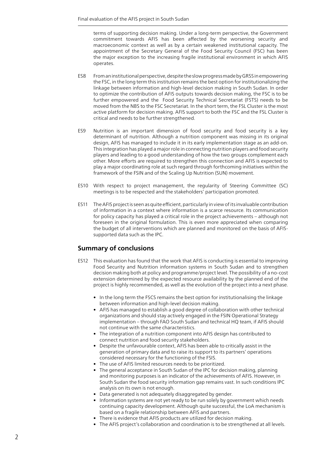terms of supporting decision making. Under a long-term perspective, the Government commitment towards AFIS has been affected by the worsening security and macroeconomic context as well as by a certain weakened institutional capacity. The appointment of the Secretary General of the Food Security Council (FSC) has been the major exception to the increasing fragile institutional environment in which AFIS operates.

- ES8 From an institutional perspective, despite the slow progress made by GRSS in empowering the FSC, in the long term this institution remains the best option for institutionalizing the linkage between information and high-level decision making in South Sudan. In order to optimize the contribution of AFIS outputs towards decision making, the FSC is to be further empowered and the Food Security Technical Secretariat (FSTS) needs to be moved from the NBS to the FSC Secretariat. In the short term, the FSL Cluster is the most active platform for decision making. AFIS support to both the FSC and the FSL Cluster is critical and needs to be further strengthened.
- ES9 Nutrition is an important dimension of food security and food security is a key determinant of nutrition. Although a nutrition component was missing in its original design, AFIS has managed to include it in its early implementation stage as an add-on. This integration has played a major role in connecting nutrition players and food security players and leading to a good understanding of how the two groups complement each other. More efforts are required to strengthen this connection and AFIS is expected to play a major coordinating role at such regard through forthcoming initiatives within the framework of the FSIN and of the Scaling Up Nutrition (SUN) movement.
- ES10 With respect to project management, the regularity of Steering Committee (SC) meetings is to be respected and the stakeholders' participation promoted.
- ES11 The AFIS project is seen as quite efficient, particularly in view of its invaluable contribution of information in a context where information is a scarce resource. Its communication for policy capacity has played a critical role in the project achievements – although not foreseen in the original formulation. This is even more appreciated when comparing the budget of all interventions which are planned and monitored on the basis of AFISsupported data such as the IPC.

## **Summary of conclusions**

- ES12 This evaluation has found that the work that AFIS is conducting is essential to improving Food Security and Nutrition information systems in South Sudan and to strengthen decision making both at policy and programme/project level. The possibility of a no-cost extension determined by the expected resource availability by the planned end of the project is highly recommended, as well as the evolution of the project into a next phase.
	- In the long term the FSCS remains the best option for institutionalising the linkage between information and high-level decision making.
	- AFIS has managed to establish a good degree of collaboration with other technical organizations and should stay actively engaged in the FSIN Operational Strategy implementation – through FAO South Sudan and technical HQ team, if AFIS should not continue with the same characteristics.
	- The integration of a nutrition component into AFIS design has contributed to connect nutrition and food security stakeholders.
	- Despite the unfavourable context, AFIS has been able to critically assist in the generation of primary data and to raise its support to its partners' operations considered necessary for the functioning of the FSIS.
	- The use of AFIS limited resources needs to be prioritized.
	- The general acceptance in South Sudan of the IPC for decision making, planning and monitoring purposes is an indicator of the achievements of AFIS. However, in South Sudan the food security information gap remains vast. In such conditions IPC analysis on its own is not enough.
	- Data generated is not adequately disaggregated by gender.
	- Information systems are not yet ready to be run solely by government which needs continuing capacity development. Although quite successful, the LoA mechanism is based on a fragile relationship between AFIS and partners.
	- There is evidence that AFIS products are utilized for decision making.
	- The AFIS project's collaboration and coordination is to be strengthened at all levels.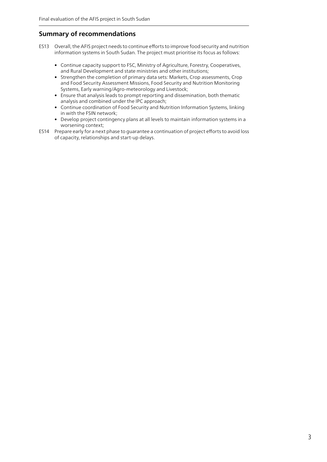## **Summary of recommendations**

- ES13 Overall, the AFIS project needs to continue efforts to improve food security and nutrition information systems in South Sudan. The project must prioritise its focus as follows:
	- Continue capacity support to FSC, Ministry of Agriculture, Forestry, Cooperatives, and Rural Development and state ministries and other institutions;
	- Strengthen the completion of primary data sets: Markets, Crop assessments, Crop and Food Security Assessment Missions, Food Security and Nutrition Monitoring Systems, Early warning/Agro-meteorology and Livestock;
	- Ensure that analysis leads to prompt reporting and dissemination, both thematic analysis and combined under the IPC approach;
	- Continue coordination of Food Security and Nutrition Information Systems, linking in with the FSIN network;
	- Develop project contingency plans at all levels to maintain information systems in a worsening context;
- ES14 Prepare early for a next phase to guarantee a continuation of project efforts to avoid loss of capacity, relationships and start-up delays.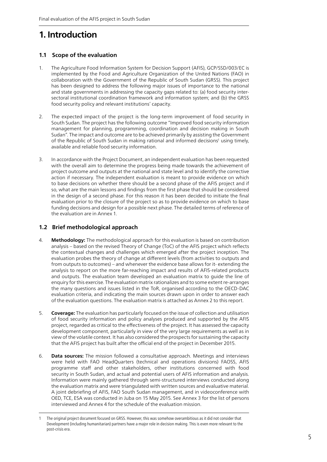## **1. Introduction**

### **1.1 Scope of the evaluation**

- 1. The Agriculture Food Information System for Decision Support (AFIS), GCP/SSD/003/EC is implemented by the Food and Agriculture Organization of the United Nations (FAO) in collaboration with the Government of the Republic of South Sudan (GRSS). This project has been designed to address the following major issues of importance to the national and state governments in addressing the capacity gaps related to: (a) food security intersectoral institutional coordination framework and information system; and (b) the GRSS food security policy and relevant institutions' capacity.
- 2. The expected impact of the project is the long-term improvement of food security in South Sudan. The project has the following outcome "Improved food security information management for planning, programming, coordination and decision making in South Sudan". The impact and outcome are to be achieved primarily by assisting the Government of the Republic of South Sudan in making rational and informed decisions<sup>1</sup> using timely, available and reliable food security information.
- 3. In accordance with the Project Document, an independent evaluation has been requested with the overall aim to determine the progress being made towards the achievement of project outcome and outputs at the national and state level and to identify the corrective action if necessary. The independent evaluation is meant to provide evidence on which to base decisions on whether there should be a second phase of the AFIS project and if so, what are the main lessons and findings from the first phase that should be considered in the design of a second phase. For this reason it has been decided to initiate the final evaluation prior to the closure of the project so as to provide evidence on which to base funding decisions and design for a possible next phase. The detailed terms of reference of the evaluation are in Annex 1.

### **1.2 Brief methodological approach**

- 4. **Methodology:** The methodological approach for this evaluation is based on contribution analysis – based on the revised Theory of Change (ToC) of the AFIS project which reflects the contextual changes and challenges which emerged after the project inception. The evaluation probes the theory of change at different levels (from activities to outputs and from outputs to outcomes) – and whenever the evidence base allows for it- extending the analysis to report on the more far-reaching impact and results of AFIS-related products and outputs. The evaluation team developed an evaluation matrix to guide the line of enquiry for this exercise. The evaluation matrix rationalizes and to some extent re-arranges the many questions and issues listed in the ToR, organised according to the OECD-DAC evaluation criteria, and indicating the main sources drawn upon in order to answer each of the evaluation questions. The evaluation matrix is attached as Annex 2 to this report.
- 5. **Coverage:** The evaluation has particularly focused on the issue of collection and utilisation of food security information and policy analyses produced and supported by the AFIS project, regarded as critical to the effectiveness of the project. It has assessed the capacity development component, particularly in view of the very large requirements as well as in view of the volatile context. It has also considered the prospects for sustaining the capacity that the AFIS project has built after the official end of the project in December 2015.
- 6. **Data sources:** The mission followed a consultative approach. Meetings and interviews were held with FAO HeadQuarters (technical and operations divisions) FAOSS, AFIS programme staff and other stakeholders, other institutions concerned with food security in South Sudan, and actual and potential users of AFIS information and analysis. Information were mainly gathered through semi-structured interviews conducted along the evaluation matrix and were triangulated with written sources and evaluative material. A joint debriefing of AFIS, FAO South Sudan management, and in videoconference with OED, TCE, ESA was conducted in Juba on 15 May 2015. See Annex 3 for the list of persons interviewed and Annex 4 for the schedule of the evaluation mission.

<sup>1</sup> The original project document focused on GRSS. However, this was somehow overambitious as it did not consider that Development (including humanitarian) partners have a major role in decision making. This is even more relevant to the post-crisis era.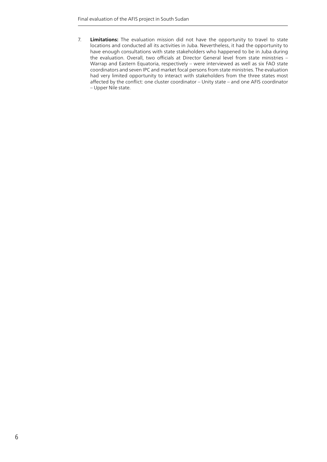7. **Limitations:** The evaluation mission did not have the opportunity to travel to state locations and conducted all its activities in Juba. Nevertheless, it had the opportunity to have enough consultations with state stakeholders who happened to be in Juba during the evaluation. Overall, two officials at Director General level from state ministries – Warrap and Eastern Equatoria, respectively – were interviewed as well as six FAO state coordinators and seven IPC and market focal persons from state ministries. The evaluation had very limited opportunity to interact with stakeholders from the three states most affected by the conflict: one cluster coordinator – Unity state – and one AFIS coordinator – Upper Nile state.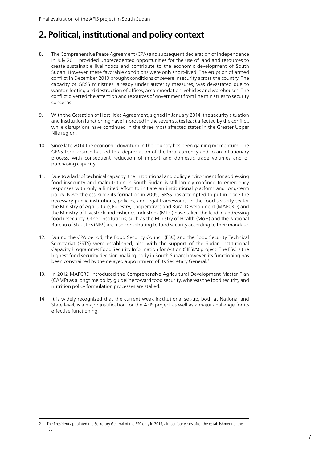## **2. Political, institutional and policy context**

- 8. The Comprehensive Peace Agreement (CPA) and subsequent declaration of Independence in July 2011 provided unprecedented opportunities for the use of land and resources to create sustainable livelihoods and contribute to the economic development of South Sudan. However, these favorable conditions were only short-lived. The eruption of armed conflict in December 2013 brought conditions of severe insecurity across the country. The capacity of GRSS ministries, already under austerity measures, was devastated due to wanton looting and destruction of offices, accommodation, vehicles and warehouses. The conflict diverted the attention and resources of government from line ministries to security concerns.
- 9. With the Cessation of Hostilities Agreement, signed in January 2014, the security situation and institution functioning have improved in the seven states least affected by the conflict, while disruptions have continued in the three most affected states in the Greater Upper Nile region.
- 10. Since late 2014 the economic downturn in the country has been gaining momentum. The GRSS fiscal crunch has led to a depreciation of the local currency and to an inflationary process, with consequent reduction of import and domestic trade volumes and of purchasing capacity.
- 11. Due to a lack of technical capacity, the institutional and policy environment for addressing food insecurity and malnutrition in South Sudan is still largely confined to emergency responses with only a limited effort to initiate an institutional platform and long-term policy. Nevertheless, since its formation in 2005, GRSS has attempted to put in place the necessary public institutions, policies, and legal frameworks. In the food security sector the Ministry of Agriculture, Forestry, Cooperatives and Rural Development (MAFCRD) and the Ministry of Livestock and Fisheries Industries (MLFI) have taken the lead in addressing food insecurity. Other institutions, such as the Ministry of Health (MoH) and the National Bureau of Statistics (NBS) are also contributing to food security according to their mandate.
- 12. During the CPA period, the Food Security Council (FSC) and the Food Security Technical Secretariat (FSTS) were established, also with the support of the Sudan Institutional Capacity Programme: Food Security Information for Action (SIFSIA) project. The FSC is the highest food security decision-making body in South Sudan; however, its functioning has been constrained by the delayed appointment of its Secretary General.<sup>2</sup>
- 13. In 2012 MAFCRD introduced the Comprehensive Agricultural Development Master Plan (CAMP) as a longtime policy quideline toward food security, whereas the food security and nutrition policy formulation processes are stalled.
- 14. It is widely recognized that the current weak institutional set-up, both at National and State level, is a major justification for the AFIS project as well as a major challenge for its effective functioning.

<sup>2</sup> The President appointed the Secretary General of the FSC only in 2013, almost four years after the establishment of the FSC.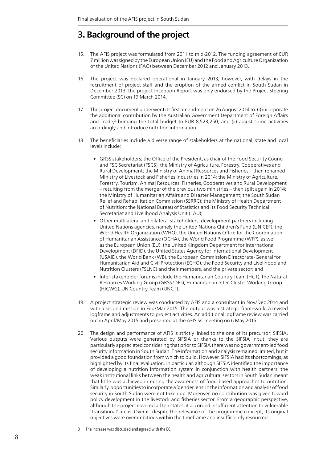## **3. Background of the project**

- 15. The AFIS project was formulated from 2011 to mid-2012. The funding agreement of EUR 7 million was signed by the European Union (EU) and the Food and Agriculture Organization of the United Nations (FAO) between December 2012 and January 2013.
- 16. The project was declared operational in January 2013; however, with delays in the recruitment of project staff and the eruption of the armed conflict in South Sudan in December 2013, the project Inception Report was only endorsed by the Project Steering Committee (SC) on 19 March 2014.
- 17. The project document underwent its first amendment on 26 August 2014 to: (i) incorporate the additional contribution by the Australian Government Department of Foreign Affairs and Trade, $3$  bringing the total budget to EUR 8,523,250; and (ii) adjust some activities accordingly and introduce nutrition information.
- 18. The beneficiaries include a diverse range of stakeholders at the national, state and local levels include:
	- GRSS stakeholders; the Office of the President, as chair of the Food Security Council and FSC Secretariat (FSCS); the Ministry of Agriculture, Forestry, Cooperatives and Rural Development; the Ministry of Animal Resources and Fisheries – then renamed Ministry of Livestock and Fisheries Industries in 2014; the Ministry of Agriculture, Forestry, Tourism, Animal Resources, Fisheries, Cooperatives and Rural Development – resulting from the merger of the previous two ministries – then split again in 2014; the Ministry of Humanitarian Affairs and Disaster Management; the South Sudan Relief and Rehabilitation Commission (SSRRC); the Ministry of Health Department of Nutrition; the National Bureau of Statistics and its Food Security Technical Secretariat and Livelihood Analysis Unit (LAU);
	- Other multilateral and bilateral stakeholders: development partners including United Nations agencies, namely the United Nations Children's Fund (UNICEF), the World Health Organization (WHO), the United Nations Office for the Coordination of Humanitarian Assistance (OCHA), the World Food Programme (WFP), as well as the European Union (EU), the United Kingdom Department for International Development (DFID), the United States Agency for International Development (USAID), the World Bank (WB), the European Commission Directorate-General for Humanitarian Aid and Civil Protection (ECHO), the Food Security and Livelihood and Nutrition Clusters (FSLNC) and their members, and the private sector; and
	- Inter-stakeholder forums include the Humanitarian Country Team (HCT), the Natural Resources Working Group (GRSS/DPs), Humanitarian Inter-Cluster Working Group (HICWG), UN Country Team (UNCT).
- 19. A project strategic review was conducted by AFIS and a consultant in Nov/Dec 2014 and with a second mission in Feb/Mar 2015. The output was a strategic framework, a revised logframe and adjustments to project activities. An additional logframe review was carried out in April/May 2015 and presented at the AFIS SC meeting on 6 May 2015.
- 20. The design and performance of AFIS is strictly linked to the one of its precursor: SIFSIA. Various outputs were generated by SIFSIA or thanks to the SIFSIA input; they are particularly appreciated considering that prior to SIFSIA there was no government-led food security information in South Sudan. The information and analysis remained limited, but it provided a good foundation from which to build. However, SIFSIA had its shortcomings, as highlighted by its final evaluation. In particular, although SIFSIA identified the importance of developing a nutrition information system in conjunction with health partners, the weak institutional links between the health and agricultural sectors in South Sudan meant that little was achieved in raising the awareness of food-based approaches to nutrition. Similarly, opportunities to incorporate a 'gender lens' in the information and analysis of food security in South Sudan were not taken up. Moreover, no contribution was given toward policy development in the livestock and fisheries sector. From a geographic perspective, although the project covered all ten states, it accorded insufficient attention to vulnerable 'transitional' areas. Overall, despite the relevance of the programme concept, its original objectives were overambitious within the timeframe and insufficiently resourced.

<sup>3</sup> The increase was discussed and agreed with the EC.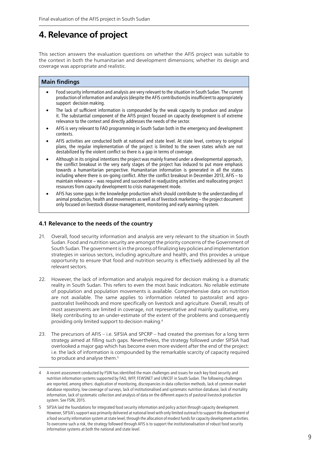## **4. Relevance of project**

This section answers the evaluation questions on whether the AFIS project was suitable to the context in both the humanitarian and development dimensions; whether its design and coverage was appropriate and realistic.

#### **Main findings**

- Food security information and analysis are very relevant to the situation in South Sudan. The current production of information and analysis (despite the AFIS contributions)is insufficient to appropriately support decision making.
- The lack of sufficient information is compounded by the weak capacity to produce and analyse it. The substantial component of the AFIS project focused on capacity development is of extreme relevance to the context and directly addresses the needs of the sector.
- AFIS is very relevant to FAO programming in South Sudan both in the emergency and development contexts.
- AFIS activities are conducted both at national and state level. At state level, contrary to original plans, the regular implementation of the project is limited to the seven states which are not destabilized by the violent conflict so there is a gap in terms of coverage.
- Although in its original intentions the project was mainly framed under a developmental approach, the conflict breakout in the very early stages of the project has induced to put more emphasis towards a humanitarian perspective. Humanitarian information is generated in all the states including where there is on-going conflict. After the conflict breakout in December 2013, AFIS – to maintain relevance – was required and succeeded in readjusting activities and reallocating project resources from capacity development to crisis management mode.
- AFIS has some gaps in the knowledge production which should contribute to the understanding of animal production, health and movements as well as of livestock marketing – the project document only focused on livestock disease management, monitoring and early warning system.

### **4.1 Relevance to the needs of the country**

- 21. Overall, food security information and analysis are very relevant to the situation in South Sudan. Food and nutrition security are amongst the priority concerns of the Government of South Sudan. The government is in the process of finalizing key policies and implementation strategies in various sectors, including agriculture and health, and this provides a unique opportunity to ensure that food and nutrition security is effectively addressed by all the relevant sectors.
- 22. However, the lack of information and analysis required for decision making is a dramatic reality in South Sudan. This refers to even the most basic indicators. No reliable estimate of population and population movements is available. Comprehensive data on nutrition are not available. The same applies to information related to pastoralist and agropastoralist livelihoods and more specifically on livestock and agriculture. Overall, results of most assessments are limited in coverage, not representative and mainly qualitative, very likely contributing to an under-estimate of the extent of the problems and consequently providing only limited support to decision making.4
- 23. The precursors of AFIS i.e. SIFSIA and SPCRP had created the premises for a long term strategy aimed at filling such gaps. Nevertheless, the strategy followed under SIFSIA had overlooked a major gap which has become even more evident after the end of the project: i.e. the lack of information is compounded by the remarkable scarcity of capacity required to produce and analyse them.<sup>5</sup>

<sup>4</sup> A recent assessment conducted by FSIN has identified the main challenges and issues for each key food security and nutrition information systems supported by FAO, WFP, FEWSNET and UNICEF in South Sudan. The following challenges are reported, among others: duplication of monitoring, discrepancies in data collection methods, lack of common market database repository, low coverage of surveys, lack of institutionalised and systematic nutrition database, lack of mortality information, lack of systematic collection and analysis of data on the different aspects of pastoral livestock production system. See FSIN, 2015.

<sup>5</sup> SIFSIA laid the foundations for integrated food security information and policy action through capacity development. However, SIFSIA's support was primarily delivered at national level with only limited outreach to support the development of a food security information system at state level, through the allocation of modest funds for capacity development activities. To overcome such a risk, the strategy followed through AFIS is to support the institutionalisation of robust food security information systems at both the national and state level.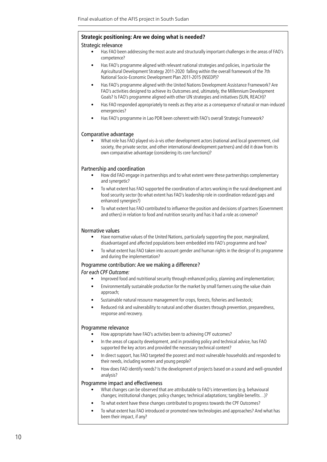#### **Strategic positioning: Are we doing what is needed?**

#### Strategic relevance

- Has FAO been addressing the most acute and structurally important challenges in the areas of FAO's competence?
- Has FAO's programme aligned with relevant national strategies and policies, in particular the Agricultural Development Strategy 2011-2020 falling within the overall framework of the 7th National Socio-Economic Development Plan 2011-2015 (NSEDP)?
- Has FAO's programme aligned with the United Nations Development Assistance Framework? Are FAO's activities designed to achieve its Outcomes and, ultimately, the Millennium Development Goals? Is FAO's programme aligned with other UN strategies and initiatives (SUN, REACH)?
- Has FAO responded appropriately to needs as they arise as a consequence of natural or man-induced emergencies?
- Has FAO's programme in Lao PDR been coherent with FAO's overall Strategic Framework?

#### Comparative advantage

• What role has FAO played vis-à-vis other development actors (national and local government, civil society, the private sector, and other international development partners) and did it draw from its own comparative advantage (considering its core functions)?

#### Partnership and coordination

- How did FAO engage in partnerships and to what extent were these partnerships complementary and synergetic?
- To what extent has FAO supported the coordination of actors working in the rural development and food security sector (to what extent has FAO's leadership role in coordination reduced gaps and enhanced synergies?)
- To what extent has FAO contributed to influence the position and decisions of partners (Government and others) in relation to food and nutrition security and has it had a role as convenor?

#### Normative values

- Have normative values of the United Nations, particularly supporting the poor, marginalized, disadvantaged and affected populations been embedded into FAO's programme and how?
- To what extent has FAO taken into account gender and human rights in the design of its programme and during the implementation?

#### Programme contribution: Are we making a difference?

#### *For each CPF Outcome:*

- Improved food and nutritional security through enhanced policy, planning and implementation;
- Environmentally sustainable production for the market by small farmers using the value chain approach;
- Sustainable natural resource management for crops, forests, fisheries and livestock;
- Reduced risk and vulnerability to natural and other disasters through prevention, preparedness, response and recovery.

#### Programme relevance

- How appropriate have FAO's activities been to achieving CPF outcomes?
- In the areas of capacity development, and in providing policy and technical advice, has FAO supported the key actors and provided the necessary technical content?
- In direct support, has FAO targeted the poorest and most vulnerable households and responded to their needs, including women and young people?
- How does FAO identify needs? Is the development of projects based on a sound and well-grounded analysis?

#### Programme impact and effectiveness

- What changes can be observed that are attributable to FAO's interventions (e.g. behavioural changes; institutional changes; policy changes; technical adaptations; tangible benefits…)?
- To what extent have these changes contributed to progress towards the CPF Outcomes?
- To what extent has FAO introduced or promoted new technologies and approaches? And what has been their impact, if any?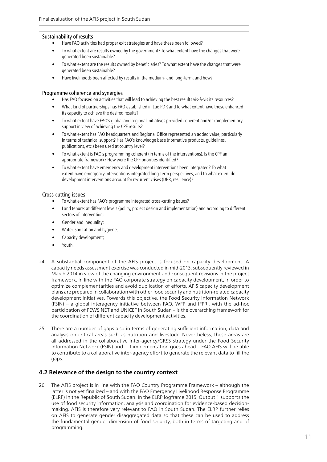#### Sustainability of results

- Have FAO activities had proper exit strategies and have these been followed?
- To what extent are results owned by the government? To what extent have the changes that were generated been sustainable?
- To what extent are the results owned by beneficiaries? To what extent have the changes that were generated been sustainable?
- Have livelihoods been affected by results in the medium- and long-term, and how?

#### Programme coherence and synergies

- Has FAO focused on activities that will lead to achieving the best results vis-à-vis its resources?
- What kind of partnerships has FAO established in Lao PDR and to what extent have these enhanced its capacity to achieve the desired results?
- To what extent have FAO's global and regional initiatives provided coherent and/or complementary support in view of achieving the CPF results?
- To what extent has FAO headquarters and Regional Office represented an added value, particularly in terms of technical support? Has FAO's knowledge base (normative products, guidelines, publications, etc.) been used at country level?
- To what extent is FAO's programming coherent (in terms of the interventions). Is the CPF an appropriate framework? How were the CPF priorities identified?
- To what extent have emergency and development interventions been integrated? To what extent have emergency interventions integrated long-term perspectives, and to what extent do development interventions account for recurrent crises (DRR, resilience)?

#### Cross-cutting issues

- To what extent has FAO's programme integrated cross-cutting issues?
- Land tenure: at different levels (policy, project design and implementation) and according to different sectors of intervention;
- Gender and inequality;
- Water, sanitation and hygiene;
- Capacity development;
- Youth.
- 24. A substantial component of the AFIS project is focused on capacity development. A capacity needs assessment exercise was conducted in mid-2013, subsequently reviewed in March 2014 in view of the changing environment and consequent revisions in the project framework. In line with the FAO corporate strategy on capacity development, in order to optimize complementarities and avoid duplication of efforts, AFIS capacity development plans are prepared in collaboration with other food security and nutrition-related capacity development initiatives. Towards this objective, the Food Security Information Network (FSIN) – a global interagency initiative between FAO, WFP and IFPRI, with the ad-hoc participation of FEWS NET and UNICEF in South Sudan – is the overarching framework for the coordination of different capacity development activities.
- 25. There are a number of gaps also in terms of generating sufficient information, data and analysis on critical areas such as nutrition and livestock. Nevertheless, these areas are all addressed in the collaborative inter-agency/GRSS strategy under the Food Security Information Network (FSIN) and – if implementation goes ahead – FAO AFIS will be able to contribute to a collaborative inter-agency effort to generate the relevant data to fill the gaps.

#### **4.2 Relevance of the design to the country context**

26. The AFIS project is in line with the FAO Country Programme Framework – although the latter is not yet finalized – and with the FAO Emergency Livelihood Response Programme (ELRP) in the Republic of South Sudan. In the ELRP logframe 2015, Output 1 supports the use of food security information, analysis and coordination for evidence-based decisionmaking. AFIS is therefore very relevant to FAO in South Sudan. The ELRP further relies on AFIS to generate gender disaggregated data so that these can be used to address the fundamental gender dimension of food security, both in terms of targeting and of programming.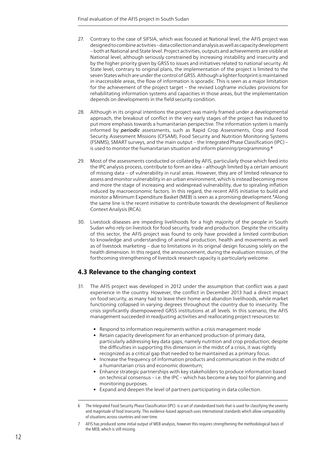- 27. Contrary to the case of SIFSIA, which was focused at National level, the AFIS project was designed to combine activities – data collection and analysis as well as capacity development – both at National and State level. Project activities, outputs and achievements are visible at National level, although seriously constrained by increasing instability and insecurity and by the higher priority given by GRSS to issues and initiatives related to national security. At State level, contrary to original plans, the implementation of the project is limited to the seven States which are under the control of GRSS. Although a lighter footprint is maintained in inaccessible areas, the flow of information is sporadic. This is seen as a major limitation for the achievement of the project target – the revised Logframe includes provisions for rehabilitating information systems and capacities in those areas, but the implementation depends on developments in the field security condition.
- 28. Although in its original intentions the project was mainly framed under a developmental approach, the breakout of conflict in the very early stages of the project has induced to put more emphasis towards a humanitarian perspective. The information system is mainly informed by *periodic* assessments, such as Rapid Crop Assessments, Crop and Food Security Assessment Missions (CFSAM), Food Security and Nutrition Monitoring Systems (FSNMS), SMART surveys, and the main output – the Integrated Phase Classification (IPC) – is used to monitor the humanitarian situation and inform planning/programming.**<sup>6</sup>**
- 29. Most of the assessments conducted or collated by AFIS, particularly those which feed into the IPC analysis process, contribute to form an idea – although limited by a certain amount of missing data – of vulnerability in rural areas. However, they are of limited relevance to assess and monitor vulnerability in an urban environment, which is instead becoming more and more the stage of increasing and widespread vulnerability, due to spiraling inflation induced by macroeconomic factors. In this regard, the recent AFIS initiative to build and monitor a Minimum Expenditure Basket (MEB) is seen as a promising development.**<sup>7</sup>**Along the same line is the recent initiative to contribute towards the development of Resilience Context Analysis (RCA).
- 30. Livestock diseases are impeding livelihoods for a high majority of the people in South Sudan who rely on livestock for food security, trade and production. Despite the criticality of this sector, the AFIS project was found to only have provided a limited contribution to knowledge and understanding of animal production, health and movements as well as of livestock marketing – due to limitations in its original design focusing solely on the health dimension. In this regard, the announcement, during the evaluation mission, of the forthcoming strengthening of livestock research capacity is particularly welcome.

## **4.3 Relevance to the changing context**

- 31. The AFIS project was developed in 2012 under the assumption that conflict was a past experience in the country. However, the conflict in December 2013 had a direct impact on food security, as many had to leave their home and abandon livelihoods, while market functioning collapsed in varying degrees throughout the country due to insecurity. The crisis significantly disempowered GRSS institutions at all levels. In this scenario, the AFIS management succeeded in readjusting activities and reallocating project resources to:
	- Respond to information requirements within a crisis management mode
	- Retain capacity development for an enhanced production of primary data, particularly addressing key data gaps, namely nutrition and crop production; despite the difficulties in supporting this dimension in the midst of a crisis, it was rightly recognized as a critical gap that needed to be maintained as a primary focus.
	- Increase the frequency of information products and communication in the midst of a humanitarian crisis and economic downturn;
	- Enhance strategic partnerships with key stakeholders to produce information based on technical consensus – i.e. the IPC – which has become a key tool for planning and monitoring purposes.
	- Expand and deepen the level of partners participating in data collection.

7 AFIS has produced some initial output of MEB analysis, however this requires strengthening the methodological basis of the MEB, which is still missing.

<sup>6</sup> The Integrated Food Security Phase Classification (IPC) is a set of standardized tools that is used for classifying the severity and magnitude of food insecurity. This evidence-based approach uses international standards which allow comparability of situations across countries and over time.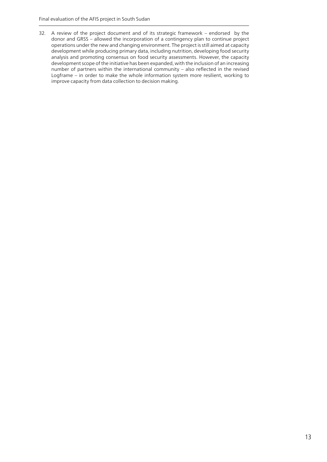32. A review of the project document and of its strategic framework – endorsed by the donor and GRSS – allowed the incorporation of a contingency plan to continue project operations under the new and changing environment. The project is still aimed at capacity development while producing primary data, including nutrition, developing food security analysis and promoting consensus on food security assessments. However, the capacity development scope of the initiative has been expanded, with the inclusion of an increasing number of partners within the international community – also reflected in the revised Logframe – in order to make the whole information system more resilient, working to improve capacity from data collection to decision making.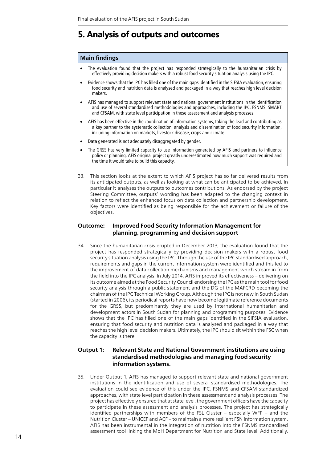## **5. Analysis of outputs and outcomes**

#### **Main findings**

- The evaluation found that the project has responded strategically to the humanitarian crisis by effectively providing decision makers with a robust food security situation analysis using the IPC.
- • Evidence shows that the IPC has filled one of the main gaps identified in the SIFSIA evaluation, ensuring food security and nutrition data is analysed and packaged in a way that reaches high level decision makers.
- AFIS has managed to support relevant state and national government institutions in the identification and use of several standardised methodologies and approaches, including the IPC, FSNMS, SMART and CFSAM, with state level participation in these assessment and analysis processes.
- AFIS has been effective in the coordination of information systems, taking the lead and contributing as a key partner to the systematic collection, analysis and dissemination of food security information, including information on markets, livestock disease, crops and climate.
- Data generated is not adequately disaggregated by gender.
- The GRSS has very limited capacity to use information generated by AFIS and partners to influence policy or planning. AFIS original project greatly underestimated how much support was required and the time it would take to build this capacity.
- 33. This section looks at the extent to which AFIS project has so far delivered results from its anticipated outputs, as well as looking at what can be anticipated to be achieved. In particular it analyses the outputs to outcomes contributions. As endorsed by the project Steering Committee, outputs' wording has been adapted to the changing context in relation to reflect the enhanced focus on data collection and partnership development. Key factors were identified as being responsible for the achievement or failure of the objectives.

### **Outcome: Improved Food Security Information Management for planning, programming and decision support**

34. Since the humanitarian crisis erupted in December 2013, the evaluation found that the project has responded strategically by providing decision makers with a robust food security situation analysis using the IPC. Through the use of the IPC standardised approach, requirements and gaps in the current information system were identified and this led to the improvement of data collection mechanisms and management which stream in from the field into the IPC analysis. In July 2014, AFIS improved its effectiveness – delivering on its outcome aimed at the Food Security Council endorsing the IPC as the main tool for food security analysis through a public statement and the DG of the MAFCRD becoming the chairman of the IPC Technical Working Group. Although the IPC is not new in South Sudan (started in 2006), its periodical reports have now become legitimate reference documents for the GRSS, but predominantly they are used by international humanitarian and development actors in South Sudan for planning and programming purposes. Evidence shows that the IPC has filled one of the main gaps identified in the SIFSIA evaluation, ensuring that food security and nutrition data is analysed and packaged in a way that reaches the high level decision makers. Ultimately, the IPC should sit within the FSC when the capacity is there.

### **Output 1: Relevant State and National Government institutions are using standardised methodologies and managing food security information systems.**

35. Under Output 1, AFIS has managed to support relevant state and national government institutions in the identification and use of several standardised methodologies. The evaluation could see evidence of this under the IPC, FSNMS and CFSAM standardized approaches, with state level participation in these assessment and analysis processes. The project has effectively ensured that at state level, the government officers have the capacity to participate in these assessment and analysis processes. The project has strategically identified partnerships with members of the FSL Cluster – especially WFP – and the Nutrition Cluster – UNICEF and ACF – to maintain a more resilient FSN information system. AFIS has been instrumental in the integration of nutrition into the FSNMS standardised assessment tool linking the MoH Department for Nutrition and State level. Additionally,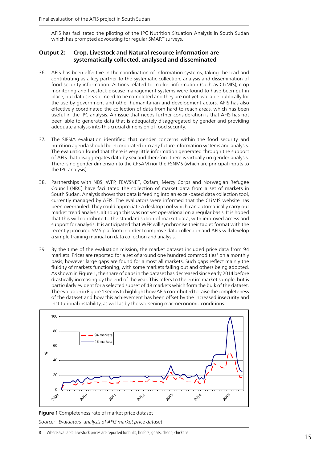AFIS has facilitated the piloting of the IPC Nutrition Situation Analysis in South Sudan which has prompted advocating for regular SMART surveys.

### **Output 2: Crop, Livestock and Natural resource information are systematically collected, analysed and disseminated**

- 36. AFIS has been effective in the coordination of information systems, taking the lead and contributing as a key partner to the systematic collection, analysis and dissemination of food security information. Actions related to market information (such as CLiMIS), crop monitoring and livestock disease management systems were found to have been put in place, but data sets still need to be completed and they are not yet available publically for the use by government and other humanitarian and development actors. AFIS has also effectively coordinated the collection of data from hard to reach areas, which has been useful in the IPC analysis. An issue that needs further consideration is that AFIS has not been able to generate data that is adequately disaggregated by gender and providing adequate analysis into this crucial dimension of food security.
- 37. The SIFSIA evaluation identified that gender concerns within the food security and nutrition agenda should be incorporated into any future information systems and analysis. The evaluation found that there is very little information generated through the support of AFIS that disaggregates data by sex and therefore there is virtually no gender analysis. There is no gender dimension to the CFSAM nor the FSNMS (which are principal inputs to the IPC analysis).
- 38. Partnerships with NBS, WFP, FEWSNET, Oxfam, Mercy Corps and Norwegian Refugee Council (NRC) have facilitated the collection of market data from a set of markets in South Sudan. Analysis shows that data is feeding into an excel-based data collection tool, currently managed by AFIS. The evaluators were informed that the CLiMIS website has been overhauled. They could appreciate a desktop tool which can automatically carry out market trend analysis, although this was not yet operational on a regular basis. It is hoped that this will contribute to the standardisation of market data, with improved access and support for analysis. It is anticipated that WFP will synchronise their tablet format with the recently procured SMS platform in order to improve data collection and AFIS will develop a simple training manual on data collection and analysis.
- 39. By the time of the evaluation mission, the market dataset included price data from 94 markets. Prices are reported for a set of around one hundred commodities**<sup>8</sup>** on a monthly basis, however large gaps are found for almost all markets. Such gaps reflect mainly the fluidity of markets functioning, with some markets falling out and others being adopted. As shown in Figure 1, the share of gaps in the dataset has decreased since early 2014 before drastically increasing by the end of the year. This refers to the entire market sample, but is particularly evident for a selected subset of 48 markets which form the bulk of the dataset. The evolution in Figure 1 seems to highlight how AFIS contributed to raise the completeness of the dataset and how this achievement has been offset by the increased insecurity and institutional instability, as well as by the worsening macroeconomic conditions.



**Figure 1**Completeness rate of market price dataset

*Source: Evaluators' analysis of AFIS market price dataset*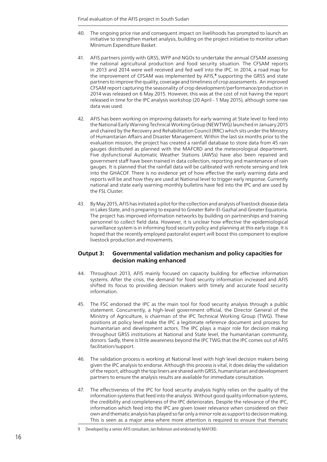- 40. The ongoing price rise and consequent impact on livelihoods has prompted to launch an initiative to strengthen market analysis, building on the project initiative to monitor urban Minimum Expenditure Basket.
- 41. AFIS partners jointly with GRSS, WFP and NGOs to undertake the annual CFSAM assessing the national agricultural production and food security situation. The CFSAM reports in 2013 and 2014 were well received and fed well into the IPC. In 2014, a road map for the improvement of CFSAM was implemented by AFIS,**<sup>9</sup>** supporting the GRSS and state partners to improve the quality, coverage and timeliness of crop assessments. An improved CFSAM report capturing the seasonality of crop development/performance/production in 2014 was released on 6 May 2015. However, this was at the cost of not having the report released in time for the IPC analysis workshop (20 April - 1 May 2015), although some raw data was used.
- 42. AFIS has been working on improving datasets for early warning at State level to feed into the National Early Warning Technical Working Group (NEWTWG) launched in January 2015 and chaired by the Recovery and Rehabilitation Council (RRC) which sits under the Ministry of Humanitarian Affairs and Disaster Management. Within the last six months prior to the evaluation mission, the project has created a rainfall database to store data from 45 rain gauges distributed as planned with the MAFCRD and the meteorological department. Five dysfunctional Automatic Weather Stations (AWSs) have also been repaired and government staff have been trained in data collection, reporting and maintenance of rain gauges. It is planned that the rainfall data will be calibrated with remote sensing and link into the GHACOF. There is no evidence yet of how effective the early warning data and reports will be and how they are used at National level to trigger early response. Currently national and state early warning monthly bulletins have fed into the IPC and are used by the FSL Cluster.
- 43. By May 2015, AFIS has initiated a pilot for the collection and analysis of livestock disease data in Lakes State, and is preparing to expand to Greater Bahr-El-Gazhal and Greater Equatoria. The project has improved information networks by building on partnerships and training personnel to collect field data. However, it is unclear how effective the epidemiological surveillance system is in informing food security policy and planning at this early stage. It is hoped that the recently employed pastoralist expert will boost this component to explore livestock production and movements.

### **Output 3: Governmental validation mechanism and policy capacities for decision making enhanced**

- 44. Throughout 2013, AFIS mainly focused on capacity building for effective information systems. After the crisis, the demand for food security information increased and AFIS shifted its focus to providing decision makers with timely and accurate food security information.
- 45. The FSC endorsed the IPC as the main tool for food security analysis through a public statement. Concurrently, a high-level government official, the Director General of the Ministry of Agriculture, is chairman of the IPC Technical Working Group (TWG). These positions at policy level make the IPC a legitimate reference document and process for humanitarian and development actors. The IPC plays a major role for decision making throughout GRSS institutions at National and State level, the humanitarian community, donors. Sadly, there is little awareness beyond the IPC TWG that the IPC comes out of AFIS facilitation/support.
- 46. The validation process is working at National level with high level decision makers being given the IPC analysis to endorse. Although this process is vital, it does delay the validation of the report, although the top liners are shared with GRSS, humanitarian and development partners to ensure the analysis results are available for immediate consultation.
- 47. The effectiveness of the IPC for food security analysis highly relies on the quality of the information systems that feed into the analysis. Without good quality information systems, the credibility and completeness of the IPC deteriorates. Despite the relevance of the IPC, information which feed into the IPC are given lower relevance when considered on their own and thematic analysis has played so far only a minor role as support to decision making. This is seen as a major area where more attention is required to ensure that thematic

<sup>9</sup> Developed by a senior AFIS consultant, Ian Robinson and endorsed by MAFCRD.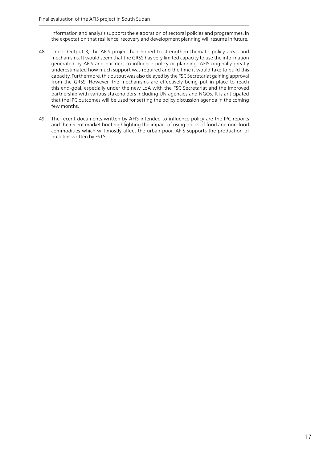information and analysis supports the elaboration of sectoral policies and programmes, in the expectation that resilience, recovery and development planning will resume in future.

- 48. Under Output 3, the AFIS project had hoped to strengthen thematic policy areas and mechanisms. It would seem that the GRSS has very limited capacity to use the information generated by AFIS and partners to influence policy or planning. AFIS originally greatly underestimated how much support was required and the time it would take to build this capacity. Furthermore, this output was also delayed by the FSC Secretariat gaining approval from the GRSS. However, the mechanisms are effectively being put in place to reach this end-goal, especially under the new LoA with the FSC Secretariat and the improved partnership with various stakeholders including UN agencies and NGOs. It is anticipated that the IPC outcomes will be used for setting the policy discussion agenda in the coming few months.
- 49. The recent documents written by AFIS intended to influence policy are the IPC reports and the recent market brief highlighting the impact of rising prices of food and non-food commodities which will mostly affect the urban poor. AFIS supports the production of bulletins written by FSTS.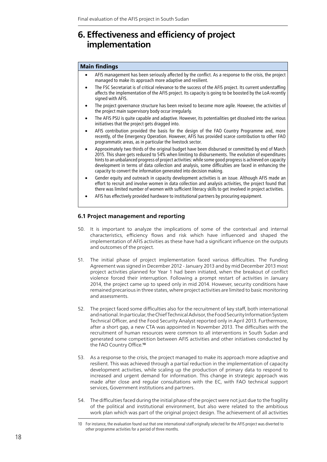## **6. Effectiveness and efficiency of project implementation**

#### **Main findings**

- AFIS management has been seriously affected by the conflict. As a response to the crisis, the project managed to make its approach more adaptive and resilient.
- The FSC Secretariat is of critical relevance to the success of the AFIS project. Its current understaffing affects the implementation of the AFIS project. Its capacity is going to be boosted by the LoA recently signed with AFIS.
- The project governance structure has been revised to become more agile. However, the activities of the project main supervisory body occur irregularly.
- The AFIS PSU is quite capable and adaptive. However, its potentialities get dissolved into the various initiatives that the project gets dragged into.
- AFIS contribution provided the basis for the design of the FAO Country Programme and, more recently, of the Emergency Operation. However, AFIS has provided scarce contribution to other FAO programmatic areas, as in particular the livestock sector.
- • Approximately two thirds of the original budget have been disbursed or committed by end of March 2015. This share gets reduced to 54% when limiting to disbursements. The evolution of expenditures hints to an unbalanced progress of project activities: while some good progress is achieved on capacity development in terms of data collection and analysis, some difficulties are faced in enhancing the capacity to convert the information generated into decision making.
- Gender equity and outreach in capacity development activities is an issue. Although AFIS made an effort to recruit and involve women in data collection and analysis activities, the project found that there was limited number of women with sufficient literacy skills to get involved in project activities.
- AFIS has effectively provided hardware to institutional partners by procuring equipment.

#### **6.1 Project management and reporting**

- 50. It is important to analyze the implications of some of the contextual and internal characteristics, efficiency flows and risk which have influenced and shaped the implementation of AFIS activities as these have had a significant influence on the outputs and outcomes of the project.
- 51. The initial phase of project implementation faced various difficulties. The Funding Agreement was signed in December 2012 - January 2013 and by mid December 2013 most project activities planned for Year 1 had been initiated, when the breakout of conflict violence forced their interruption. Following a prompt restart of activities in January 2014, the project came up to speed only in mid 2014. However, security conditions have remained precarious in three states, where project activities are limited to basic monitoring and assessments.
- 52. The project faced some difficulties also for the recruitment of key staff, both international and national. In particular, the Chief Technical Advisor, the Food Security Information System Technical Officer, and the Food Security Analyst reported only in April 2013. Furthermore, after a short gap, a new CTA was appointed in November 2013. The difficulties with the recruitment of human resources were common to all interventions in South Sudan and generated some competition between AFIS activities and other initiatives conducted by the FAO Country Office.**<sup>10</sup>**
- 53. As a response to the crisis, the project managed to make its approach more adaptive and resilient. This was achieved through a partial reduction in the implementation of capacity development activities, while scaling up the production of primary data to respond to increased and urgent demand for information. This change in strategic approach was made after close and regular consultations with the EC, with FAO technical support services, Government institutions and partners.
- 54. The difficulties faced during the initial phase of the project were not just due to the fragility of the political and institutional environment, but also were related to the ambitious work plan which was part of the original project design. The achievement of all activities

<sup>10</sup> For instance, the evaluation found out that one international staff originally selected for the AFIS project was diverted to other programme activities for a period of three months.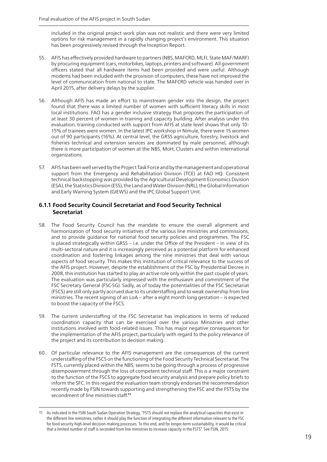included in the original project work plan was not realistic and there were very limited options for risk management in a rapidly changing project's environment. This situation has been progressively revised through the Inception Report.

- 55. AFIS has effectively provided hardware to partners (NBS, MAFCRD, MLFI, State MAF/MARF) by procuring equipment (cars, motorbikes, laptops, printers and software). All government officers stated that all hardware items had been provided and were useful. Although modems had been included with the provision of computers, these have not improved the level of communication from national to state. The MAFCRD vehicle was handed over in April 2015, after delivery delays by the supplier.
- 56. Although AFIS has made an effort to mainstream gender into the design, the project found that there was a limited number of women with sufficient literacy skills in most local institutions. FAO has a gender inclusive strategy that proposes the participation of at least 30 percent of women in training and capacity building. After analysis under this evaluation, training conducted with support from AFIS at state level shows that only 10- 15% of trainees were women. In the latest IPC workshop in Nimule, there were 15 women out of 90 participants (16%). At central level, the GRSS agriculture, forestry, livestock and fisheries technical and extension services are dominated by male personnel, although there is more participation of women at the NBS, MoH, Clusters and within international organizations.
- 57. AFIS has been well served by the Project Task Force and by the management and operational support from the Emergency and Rehabilitation Division (TCE) at FAO HQ. Consistent technical backstopping was provided by the Agricultural Development Economics Division (ESA), the Statistics Division (ESS), the Land and Water Division (NRL), the Global Information and Early Warning System (GIEWS) and the IPC Global Support Unit.

### **6.1.1 Food Security Council Secretariat and Food Security Technical Secretariat**

- 58. The Food Security Council has the mandate to ensure the overall alignment and harmonization of food security initiatives of the various line ministries and commissions, and to provide guidance for national food security policies and programmes. The FSC is placed strategically within GRSS – i.e. under the Office of the President – in view of its multi-sectoral nature and it is increasingly perceived as a potential platform for enhanced coordination and fostering linkages among the nine ministries that deal with various aspects of food security. This makes this institution of critical relevance to the success of the AFIS project. However, despite the establishment of the FSC by Presidential Decree in 2008, this institution has started to play an active role only within the past couple of years. The evaluation was particularly impressed with the enthusiasm and commitment of the FSC Secretary General (FSC-SG). Sadly, as of today the potentialities of the FSC Secretariat (FSCS) are still only partly accrued due to its understaffing and to weak ownership from line ministries. The recent signing of an LoA – after a eight month long gestation – is expected to boost the capacity of the FSCS.
- 59. The current understaffing of the FSC Secretariat has implications in terms of reduced coordination capacity that can be exercised over the various Ministries and other institutions involved with food-related issues. This has major negative consequences for the implementation of the AFIS project, particularly with regard to the policy relevance of the project and its contribution to decision making.
- 60. Of particular relevance to the AFIS management are the consequences of the current understaffing of the FSCS on the functioning of the Food Security Technical Secretariat. The FSTS, currently placed within the NBS, seems to be going through a process of progressive disempowerment through the loss of competent technical staff. This is a major constraint to the function of the FSCS to aggregate food security analysis and prepare policy briefs to inform the SFC. In this regard the evaluation team strongly endorses the recommendation recently made by FSIN towards supporting and strengthening the FSC and the FSTS by the secondment of line ministries staff.**<sup>11</sup>**

<sup>11</sup> As indicated in the FSIN South Sudan Operation Strategy, "FSTS should not replace the analytical capacities that exist in the different line ministries, rather it should play the function of integrating the different information relevant to the FSC for food security high-level decision-making processes. To this end, and for longer-term sustainability, it would be critical that a limited number of staff is seconded from line ministries to increase capacity in the FSTS". See FSIN, 2015.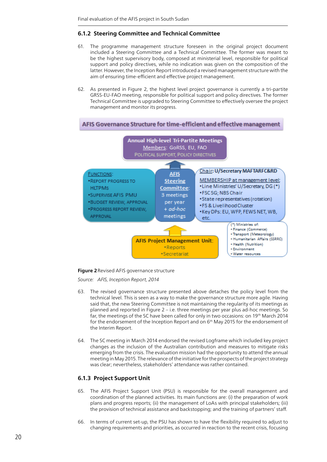### **6.1.2 Steering Committee and Technical Committee**

- 61. The programme management structure foreseen in the original project document included a Steering Committee and a Technical Committee. The former was meant to be the highest supervisory body, composed at ministerial level, responsible for political support and policy directives, while no indication was given on the composition of the latter. However, the Inception Report introduced a revised management structure with the aim of ensuring time-efficient and effective project management.
- 62. As presented in Figure 2, the highest level project governance is currently a tri-partite GRSS-EU-FAO meeting, responsible for political support and policy directives. The former Technical Committee is upgraded to Steering Committee to effectively oversee the project management and monitor its progress.



#### **Figure 2**Revised AFIS governance structure

*Source: AFIS, Inception Report, 2014*

- 63. The revised governance structure presented above detaches the policy level from the technical level. This is seen as a way to make the governance structure more agile. Having said that, the new Steering Committee is not maintaining the regularity of its meetings as planned and reported in Figure 2 – i.e. three meetings per year plus ad-hoc meetings. So far, the meetings of the SC have been called for only in two occasions: on 19th March 2014 for the endorsement of the Inception Report and on  $6<sup>th</sup>$  May 2015 for the endorsement of the Interim Report.
- 64. The SC meeting in March 2014 endorsed the revised Logframe which included key project changes as the inclusion of the Australian contribution and measures to mitigate risks emerging from the crisis. The evaluation mission had the opportunity to attend the annual meeting in May 2015. The relevance of the initiative for the prospects of the project strategy was clear; nevertheless, stakeholders' attendance was rather contained.

#### **6.1.3 Project Support Unit**

- 65. The AFIS Project Support Unit (PSU) is responsible for the overall management and coordination of the planned activities. Its main functions are: (i) the preparation of work plans and progress reports; (ii) the management of LoAs with principal stakeholders; (iii) the provision of technical assistance and backstopping; and the training of partners' staff.
- 66. In terms of current set-up, the PSU has shown to have the flexibility required to adjust to changing requirements and priorities, as occurred in reaction to the recent crisis, focusing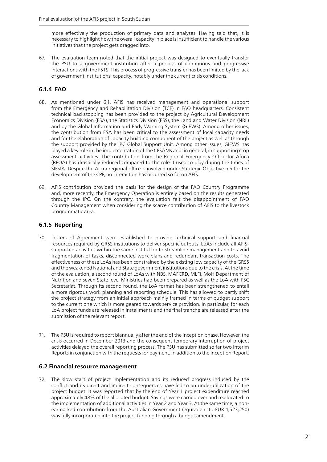more effectively the production of primary data and analyses. Having said that, it is necessary to highlight how the overall capacity in place is insufficient to handle the various initiatives that the project gets dragged into.

67. The evaluation team noted that the initial project was designed to eventually transfer the PSU to a government institution after a process of continuous and progressive interactions with the FSTS. This process of progressive transfer has been limited by the lack of government institutions' capacity, notably under the current crisis conditions.

### **6.1.4 FAO**

- 68. As mentioned under 6.1, AFIS has received management and operational support from the Emergency and Rehabilitation Division (TCE) in FAO headquarters. Consistent technical backstopping has been provided to the project by Agricultural Development Economics Division (ESA), the Statistics Division (ESS), the Land and Water Division (NRL) and by the Global Information and Early Warning System (GIEWS). Among other issues, the contribution from ESA has been critical to the assessment of local capacity needs and for the elaboration of capacity building component of the project as well as through the support provided by the IPC Global Support Unit. Among other issues, GIEWS has played a key role in the implementation of the CFSAMs and, in general, in supporting crop assessment activities. The contribution from the Regional Emergency Office for Africa (REOA) has drastically reduced compared to the role it used to play during the times of SIFSIA. Despite the Accra regional office is involved under Strategic Objective n.5 for the development of the CPF, no interaction has occurred so far on AFIS.
- 69. AFIS contribution provided the basis for the design of the FAO Country Programme and, more recently, the Emergency Operation is entirely based on the results generated through the IPC. On the contrary, the evaluation felt the disappointment of FAO Country Management when considering the scarce contribution of AFIS to the livestock programmatic area.

### **6.1.5 Reporting**

- 70. Letters of Agreement were established to provide technical support and financial resources required by GRSS institutions to deliver specific outputs. LoAs include all AFISsupported activities within the same institution to streamline management and to avoid fragmentation of tasks, disconnected work plans and redundant transaction costs. The effectiveness of these LoAs has been constrained by the existing low capacity of the GRSS and the weakened National and State government institutions due to the crisis. At the time of the evaluation, a second round of LoAs with NBS, MAFCRD, MLFI, MoH Department of Nutrition and seven State level Ministries had been prepared as well as the LoA with FSC Secretariat. Through its second round, the LoA format has been strengthened to entail a more rigorous work planning and reporting schedule. This has allowed to partly shift the project strategy from an initial approach mainly framed in terms of budget support to the current one which is more geared towards service provision. In particular, for each LoA project funds are released in installments and the final tranche are released after the submission of the relevant report.
- 71. The PSU is required to report biannually after the end of the inception phase. However, the crisis occurred in December 2013 and the consequent temporary interruption of project activities delayed the overall reporting process. The PSU has submitted so far two Interim Reports in conjunction with the requests for payment, in addition to the Inception Report.

#### **6.2 Financial resource management**

72. The slow start of project implementation and its reduced progress induced by the conflict and its direct and indirect consequences have led to an underutilization of the project budget. It was reported that by the end of Year 1 project expenditure reached approximately 48% of the allocated budget. Savings were carried over and reallocated to the implementation of additional activities in Year 2 and Year 3. At the same time, a nonearmarked contribution from the Australian Government (equivalent to EUR 1,523,250) was fully incorporated into the project funding through a budget amendment.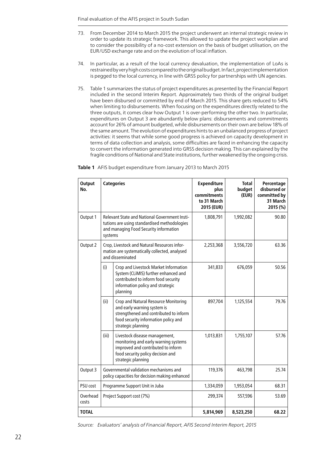- 73. From December 2014 to March 2015 the project underwent an internal strategic review in order to update its strategic framework. This allowed to update the project workplan and to consider the possibility of a no-cost extension on the basis of budget utilisation, on the EUR/USD exchange rate and on the evolution of local inflation.
- 74. In particular, as a result of the local currency devaluation, the implementation of LoAs is restrained by very high costs compared to the original budget. In fact, project implementation is pegged to the local currency, in line with GRSS policy for partnerships with UN agencies.
- 75. Table 1 summarizes the status of project expenditures as presented by the Financial Report included in the second Interim Report. Approximately two thirds of the original budget have been disbursed or committed by end of March 2015. This share gets reduced to 54% when limiting to disbursements. When focusing on the expenditures directly related to the three outputs, it comes clear how Output 1 is over-performing the other two. In particular, expenditures on Output 3 are abundantly below plans: disbursements and commitments account for 26% of amount budgeted, while disbursements on their own are below 18% of the same amount. The evolution of expenditures hints to an unbalanced progress of project activities: it seems that while some good progress is achieved on capacity development in terms of data collection and analysis, some difficulties are faced in enhancing the capacity to convert the information generated into GRSS decision making. This can explained by the fragile conditions of National and State institutions, further weakened by the ongoing crisis.

| <b>Output</b><br>No. | <b>Categories</b>                                                                                                 |                                                                                                                                                                             | <b>Expenditure</b><br>plus<br>commitments<br>to 31 March<br>2015 (EUR) | <b>Total</b><br>budget<br>(EUR) | Percentage<br>disbursed or<br>committed by<br>31 March<br>2015 (%) |
|----------------------|-------------------------------------------------------------------------------------------------------------------|-----------------------------------------------------------------------------------------------------------------------------------------------------------------------------|------------------------------------------------------------------------|---------------------------------|--------------------------------------------------------------------|
| Output 1             | systems                                                                                                           | Relevant State and National Government Insti-<br>tutions are using standardised methodologies<br>and managing Food Security information                                     | 1,808,791                                                              | 1,992,082                       | 90.80                                                              |
| Output 2             | Crop, Livestock and Natural Resources infor-<br>mation are systematically collected, analysed<br>and disseminated |                                                                                                                                                                             | 2,253,368                                                              | 3,556,720                       | 63.36                                                              |
|                      | (i)                                                                                                               | Crop and Livestock Market Information<br>System (CLiMIS) further enhanced and<br>contributed to inform food security<br>information policy and strategic<br>planning        | 341,833                                                                | 676,059                         | 50.56                                                              |
|                      | (ii)                                                                                                              | Crop and Natural Resource Monitoring<br>and early warning system is<br>strengthened and contributed to inform<br>food security information policy and<br>strategic planning | 897,704                                                                | 1,125,554                       | 79.76                                                              |
|                      | (iii)                                                                                                             | Livestock disease management,<br>monitoring and early warning systems<br>improved and contributed to inform<br>food security policy decision and<br>strategic planning      | 1,013,831                                                              | 1,755,107                       | 57.76                                                              |
| Output 3             | Governmental validation mechanisms and<br>policy capacities for decision making enhanced                          |                                                                                                                                                                             | 119,376                                                                | 463,798                         | 25.74                                                              |
| PSU cost             |                                                                                                                   | Programme Support Unit in Juba                                                                                                                                              | 1,334,059                                                              | 1,953,054                       | 68.31                                                              |
| Overhead<br>costs    |                                                                                                                   | Project Support cost (7%)                                                                                                                                                   | 299,374                                                                | 557,596                         | 53.69                                                              |
| <b>TOTAL</b>         |                                                                                                                   |                                                                                                                                                                             | 5,814,969                                                              | 8,523,250                       | 68.22                                                              |

#### **Table 1** AFIS budget expenditure from January 2013 to March 2015

*Source: Evaluators' analysis of Financial Report, AFIS Second Interim Report, 2015*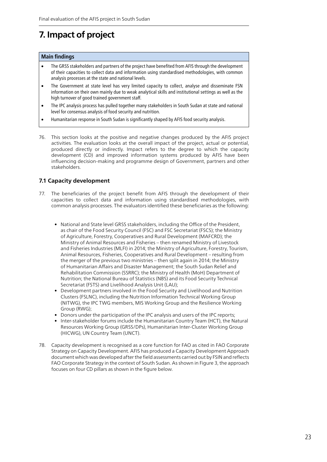## **7. Impact of project**

#### **Main findings**

- The GRSS stakeholders and partners of the project have benefited from AFIS through the development of their capacities to collect data and information using standardised methodologies, with common analysis processes at the state and national levels.
- The Government at state level has very limited capacity to collect, analyse and disseminate FSN information on their own mainly due to weak analytical skills and institutional settings as well as the high turnover of good trained government staff.
- The IPC analysis process has pulled together many stakeholders in South Sudan at state and national level for consensus analysis of food security and nutrition.
- Humanitarian response in South Sudan is significantly shaped by AFIS food security analysis.
- 76. This section looks at the positive and negative changes produced by the AFIS project activities. The evaluation looks at the overall impact of the project, actual or potential, produced directly or indirectly. Impact refers to the degree to which the capacity development (CD) and improved information systems produced by AFIS have been influencing decision-making and programme design of Government, partners and other stakeholders.

### **7.1 Capacity development**

- 77. The beneficiaries of the project benefit from AFIS through the development of their capacities to collect data and information using standardised methodologies, with common analysis processes. The evaluators identified these beneficiaries as the following:
	- National and State level GRSS stakeholders, including the Office of the President, as chair of the Food Security Council (FSC) and FSC Secretariat (FSCS); the Ministry of Agriculture, Forestry, Cooperatives and Rural Development (MAFCRD); the Ministry of Animal Resources and Fisheries – then renamed Ministry of Livestock and Fisheries Industries (MLFI) in 2014; the Ministry of Agriculture, Forestry, Tourism, Animal Resources, Fisheries, Cooperatives and Rural Development – resulting from the merger of the previous two ministries – then split again in 2014; the Ministry of Humanitarian Affairs and Disaster Management; the South Sudan Relief and Rehabilitation Commission (SSRRC); the Ministry of Health (MoH) Department of Nutrition; the National Bureau of Statistics (NBS) and its Food Security Technical Secretariat (FSTS) and Livelihood Analysis Unit (LAU);
	- Development partners involved in the Food Security and Livelihood and Nutrition Clusters (FSLNC), including the Nutrition Information Technical Working Group (NITWG), the IPC TWG members, MIS Working Group and the Resilience Working Group (RWG);
	- Donors under the participation of the IPC analysis and users of the IPC reports;
	- Inter-stakeholder forums include the Humanitarian Country Team (HCT), the Natural Resources Working Group (GRSS/DPs), Humanitarian Inter-Cluster Working Group (HICWG), UN Country Team (UNCT).
- 78. Capacity development is recognised as a core function for FAO as cited in FAO Corporate Strategy on Capacity Development. AFIS has produced a Capacity Development Approach document which was developed after the field assessments carried out by FSIN and reflects FAO Corporate Strategy in the context of South Sudan. As shown in Figure 3, the approach focuses on four CD pillars as shown in the figure below.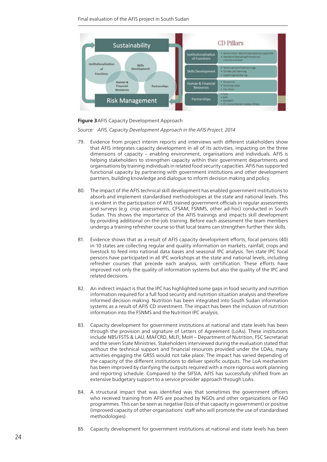Final evaluation of the AFIS project in South Sudan



#### **Figure 3**AFIS Capacity Development Approach

*Source: AFIS, Capacity Development Approach in the AFIS Project, 2014*

- 79. Evidence from project interim reports and interviews with different stakeholders show that AFIS integrates capacity development in all of its activities, impacting on the three dimensions of capacity – enabling environment, organisations and individuals. AFIS is helping stakeholders to strengthen capacity within their government departments and organisations by training individuals in related food security capacities. AFIS has supported functional capacity by partnering with government institutions and other development partners, building knowledge and dialogue to inform decision making and policy.
- 80. The impact of the AFIS technical skill development has enabled government institutions to absorb and implement standardised methodologies at the state and national levels. This is evident in the participation of AFIS trained government officials in regular assessments and surveys (e.g. crop assessments, CFSAM, FSNMS, other ad-hoc) conducted in South Sudan. This shows the importance of the AFIS trainings and impacts skill development by providing additional on-the-job training. Before each assessment the team members undergo a training refresher course so that local teams can strengthen further their skills.
- 81. Evidence shows that as a result of AFIS capacity development efforts, focal persons (40) in 10 states are collecting regular and quality information on markets, rainfall, crops and livestock to feed into national data bases and seasonal IPC analysis. Ten state IPC focal persons have participated in all IPC workshops at the state and national levels, including refresher courses that precede each analysis, with certification. These efforts have improved not only the quality of information systems but also the quality of the IPC and related decisions.
- 82. An indirect impact is that the IPC has highlighted some gaps in food security and nutrition information required for a full food security and nutrition situation analysis and therefore informed decision making. Nutrition has been integrated into South Sudan information systems as a result of AFIS CD investment. The impact has been the inclusion of nutrition information into the FSNMS and the Nutrition IPC analysis.
- 83. Capacity development for government institutions at national and state levels has been through the provision and signature of Letters of Agreement (LoAs). These institutions include NBS/FSTS & LAU, MAFCRD, MLFI, MoH – Department of Nutrition, FSC Secretariat and the seven State Ministries. Stakeholders interviewed during the evaluation stated that without the technical support and financial resources provided under the LOAs, many activities engaging the GRSS would not take place. The impact has varied depending of the capacity of the different institutions to deliver specific outputs. The LoA mechanism has been improved by clarifying the outputs required with a more rigorous work planning and reporting schedule. Compared to the SIFSIA, AFIS has successfully shifted from an extensive budgetary support to a service provider approach through LoAs.
- 84. A structural impact that was identified was that sometimes the government officers who received training from AFIS are poached by NGOs and other organizations or FAO programmes. This can be seen as negative (loss of that capacity in government) or positive (improved capacity of other organisations' staff who will promote the use of standardised methodologies).
- 85. Capacity development for government institutions at national and state levels has been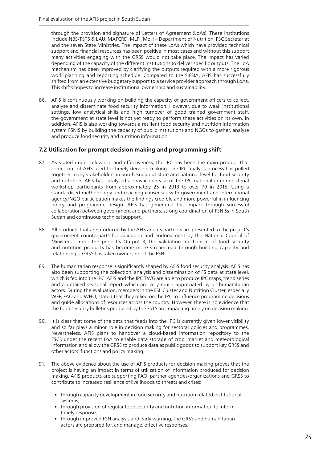through the provision and signature of Letters of Agreement (LoAs). These institutions include NBS/FSTS & LAU, MAFCRD, MLFI, MoH – Department of Nutrition, FSC Secretariat and the seven State Ministries. The impact of these LoAs which have provided technical support and financial resources has been positive in most cases and without this support many activities engaging with the GRSS would not take place. The impact has varied depending of the capacity of the different institutions to deliver specific outputs. The LoA mechanism has been improved by clarifying the outputs required with a more rigorous work planning and reporting schedule. Compared to the SIFSIA, AFIS has successfully shifted from an extensive budgetary support to a service provider approach through LoAs. This shifts hopes to increase institutional ownership and sustainability.

86. AFIS is continuously working on building the capacity of government officers to collect, analyse and disseminate food security information. However, due to weak institutional settings, low analytical skills and high turnover of good trained government staff, the government at state level is not yet ready to perform these activities on its own. In addition, AFIS is also working towards a resilient food security and nutrition information system FSNIS by building the capacity of public institutions and NGOs to gather, analyse and produce food security and nutrition information.

#### **7.2 Utilisation for prompt decision making and programming shift**

- 87. As stated under relevance and effectiveness, the IPC has been the main product that comes out of AFIS used for timely decision making. The IPC analysis process has pulled together many stakeholders in South Sudan at state and national level for food security and nutrition. AFIS has catalysed a drastic increase of the IPC national inter-ministerial workshop participants from approximately 25 in 2013 to over 70 in 2015. Using a standardised methodology and reaching consensus with government and international agency/NGO participation makes the findings credible and more powerful in influencing policy and programme design. AFIS has generated this impact through successful collaboration between government and partners, strong coordination of FSNISs in South Sudan and continuous technical support.
- 88. All products that are produced by the AFIS and its partners are presented to the project's government counterparts for validation and endorsement by the National Council of Ministers. Under the project's Output 3, the validation mechanism of food security and nutrition products has become more streamlined through building capacity and relationships. GRSS has taken ownership of the FSN.
- 89. The humanitarian response is significantly shaped by AFIS food security analysis. AFIS has also been supporting the collection, analysis and dissemination of FS data at state level, which is fed into the IPC. AFIS and the IPC TWG are able to produce IPC maps, trend series and a detailed seasonal report which are very much appreciated by all humanitarian actors. During the evaluation, members in the FSL Cluster and Nutrition Cluster, especially WFP, FAO and WHO, stated that they relied on the IPC to influence programme decisions and guide allocations of resources across the country. However, there is no evidence that the food security bulletins produced by the FSTS are impacting timely on decision making.
- 90. It is clear that some of the data that feeds into the IPC is currently given lower visibility and so far plays a minor role in decision making for sectoral policies and programmes. Nevertheless, AFIS plans to handover a cloud-based information repository to the FSCS under the recent LoA to enable data storage of crop, market and meteorological information and allow the GRSS to produce data as public goods to support key GRSS and other actors' functions and policy making.
- 91. The above evidence about the use of AFIS products for decision making proves that the project is having an impact in terms of utilization of information produced for decision making. AFIS products are supporting FAO, partner agencies/organizations and GRSS to contribute to increased resilience of livelihoods to threats and crises:
	- through capacity development in food security and nutrition related institutional systems;
	- through provision of regular food security and nutrition information to inform timely response;
	- through improved FSN analysis and early warning, the GRSS and humanitarian actors are prepared for, and manage, effective responses.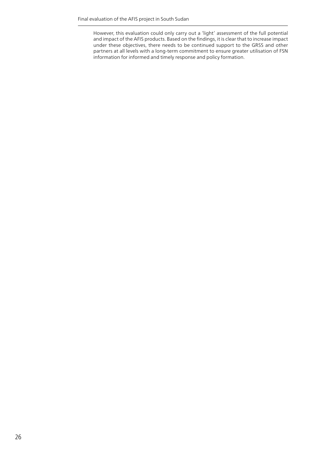However, this evaluation could only carry out a 'light' assessment of the full potential and impact of the AFIS products. Based on the findings, it is clear that to increase impact under these objectives, there needs to be continued support to the GRSS and other partners at all levels with a long-term commitment to ensure greater utilisation of FSN information for informed and timely response and policy formation.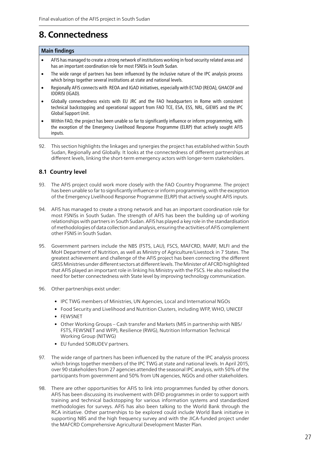## **8. Connectedness**

#### **Main findings**

- AFIS has managed to create a strong network of institutions working in food security related areas and has an important coordination role for most FSNISs in South Sudan.
- The wide range of partners has been influenced by the inclusive nature of the IPC analysis process which brings together several institutions at state and national levels.
- • Regionally AFIS connects with REOA and IGAD initiatives, especially with ECTAD (REOA), GHACOF and IDDRISI (IGAD).
- • Globally connectedness exists with EU JRC and the FAO headquarters in Rome with consistent technical backstopping and operational support from FAO TCE, ESA, ESS, NRL, GIEWS and the IPC Global Support Unit.
- Within FAO, the project has been unable so far to significantly influence or inform programming, with the exception of the Emergency Livelihood Response Programme (ELRP) that actively sought AFIS inputs.
- 92. This section highlights the linkages and synergies the project has established within South Sudan, Regionally and Globally. It looks at the connectedness of different partnerships at different levels, linking the short-term emergency actors with longer-term stakeholders.

### **8.1 Country level**

- 93. The AFIS project could work more closely with the FAO Country Programme. The project has been unable so far to significantly influence or inform programming, with the exception of the Emergency Livelihood Response Programme (ELRP) that actively sought AFIS inputs.
- 94. AFIS has managed to create a strong network and has an important coordination role for most FSNISs in South Sudan. The strength of AFIS has been the building up of working relationships with partners in South Sudan. AFIS has played a key role in the standardisation of methodologies of data collection and analysis, ensuring the activities of AFIS complement other FSNIS in South Sudan.
- 95. Government partners include the NBS (FSTS, LAU), FSCS, MAFCRD, MARF, MLFI and the MoH Department of Nutrition, as well as Ministry of Agriculture/Livestock in 7 States. The greatest achievement and challenge of the AFIS project has been connecting the different GRSS Ministries under different sectors at different levels. The Minister of AFCRD highlighted that AFIS played an important role in linking his Ministry with the FSCS. He also realised the need for better connectedness with State level by improving technology communication.
- 96. Other partnerships exist under:
	- IPC TWG members of Ministries, UN Agencies, Local and International NGOs
	- Food Security and Livelihood and Nutrition Clusters, including WFP, WHO, UNICEF
	- FEWSNET
	- Other Working Groups Cash transfer and Markets (MIS in partnership with NBS/ FSTS, FEWSNET and WFP), Resilience (RWG), Nutrition Information Technical Working Group (NITWG)
	- EU funded SORUDEV partners.
- 97. The wide range of partners has been influenced by the nature of the IPC analysis process which brings together members of the IPC TWG at state and national levels. In April 2015, over 90 stakeholders from 27 agencies attended the seasonal IPC analysis, with 50% of the participants from government and 50% from UN agencies, NGOs and other stakeholders.
- 98. There are other opportunities for AFIS to link into programmes funded by other donors. AFIS has been discussing its involvement with DFID programmes in order to support with training and technical backstopping for various information systems and standardized methodologies for surveys. AFIS has also been talking to the World Bank through the RCA initiative. Other partnerships to be explored could include World Bank initiative in supporting NBS and the high frequency survey and with the JICA-funded project under the MAFCRD Comprehensive Agricultural Development Master Plan.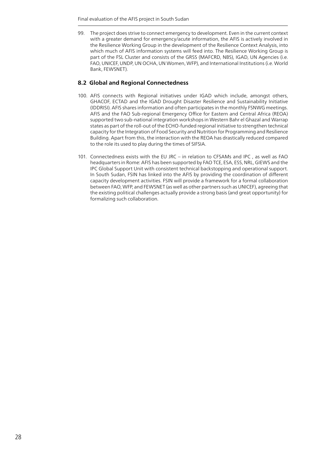99. The project does strive to connect emergency to development. Even in the current context with a greater demand for emergency/acute information, the AFIS is actively involved in the Resilience Working Group in the development of the Resilience Context Analysis, into which much of AFIS information systems will feed into. The Resilience Working Group is part of the FSL Cluster and consists of the GRSS (MAFCRD, NBS), IGAD, UN Agencies (i.e. FAO, UNICEF, UNDP, UN OCHA, UN Women, WFP), and International Institutions (i.e. World Bank, FEWSNET).

### **8.2 Global and Regional Connectedness**

- 100. AFIS connects with Regional initiatives under IGAD which include, amongst others, GHACOF, ECTAD and the IGAD Drought Disaster Resilience and Sustainability Initiative (IDDRISI). AFIS shares information and often participates in the monthly FSNWG meetings. AFIS and the FAO Sub-regional Emergency Office for Eastern and Central Africa (REOA) supported two sub-national integration workshops in Western Bahr el Ghazal and Warrap states as part of the roll-out of the ECHO-funded regional initiative to strengthen technical capacity for the Integration of Food Security and Nutrition for Programming and Resilience Building. Apart from this, the interaction with the REOA has drastically reduced compared to the role its used to play during the times of SIFSIA.
- 101. Connectedness exists with the EU JRC in relation to CFSAMs and IPC , as well as FAO headquarters in Rome: AFIS has been supported by FAO TCE, ESA, ESS, NRL, GIEWS and the IPC Global Support Unit with consistent technical backstopping and operational support. In South Sudan, FSIN has linked into the AFIS by providing the coordination of different capacity development activities. FSIN will provide a framework for a formal collaboration between FAO, WFP, and FEWSNET (as well as other partners such as UNICEF), agreeing that the existing political challenges actually provide a strong basis (and great opportunity) for formalizing such collaboration.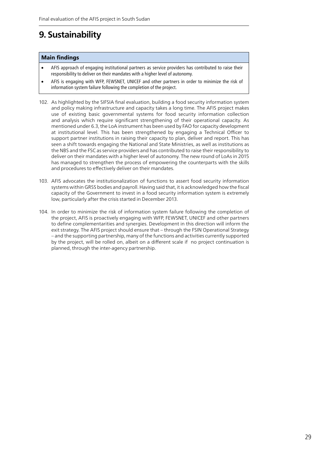## **9. Sustainability**

#### **Main findings**

- AFIS approach of engaging institutional partners as service providers has contributed to raise their responsibility to deliver on their mandates with a higher level of autonomy.
- AFIS is engaging with WFP, FEWSNET, UNICEF and other partners in order to minimize the risk of information system failure following the completion of the project.
- 102. As highlighted by the SIFSIA final evaluation, building a food security information system and policy making infrastructure and capacity takes a long time. The AFIS project makes use of existing basic governmental systems for food security information collection and analysis which require significant strengthening of their operational capacity. As mentioned under 6.3, the LoA instrument has been used by FAO for capacity development at institutional level. This has been strengthened by engaging a Technical Officer to support partner institutions in raising their capacity to plan, deliver and report. This has seen a shift towards engaging the National and State Ministries, as well as institutions as the NBS and the FSC as service providers and has contributed to raise their responsibility to deliver on their mandates with a higher level of autonomy. The new round of LoAs in 2015 has managed to strengthen the process of empowering the counterparts with the skills and procedures to effectively deliver on their mandates.
- 103. AFIS advocates the institutionalization of functions to assert food security information systems within GRSS bodies and payroll. Having said that, it is acknowledged how the fiscal capacity of the Government to invest in a food security information system is extremely low, particularly after the crisis started in December 2013.
- 104. In order to minimize the risk of information system failure following the completion of the project, AFIS is proactively engaging with WFP, FEWSNET, UNICEF and other partners to define complementarities and synergies. Development in this direction will inform the exit strategy. The AFIS project should ensure that – through the FSIN Operational Strategy – and the supporting partnership, many of the functions and activities currently supported by the project, will be rolled on, albeit on a different scale if no project continuation is planned, through the inter-agency partnership.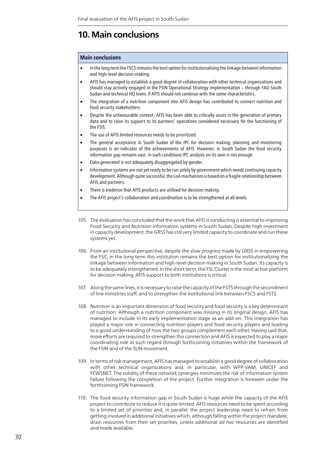## **10. Main conclusions**

#### **Main conclusions**

- In the long term the FSCS remains the best option for institutionalising the linkage between information and high-level decision making.
- AFIS has managed to establish a good degree of collaboration with other technical organizations and should stay actively engaged in the FSIN Operational Strategy implementation – through FAO South Sudan and technical HQ team, if AFIS should not continue with the same characteristics.
- The integration of a nutrition component into AFIS design has contributed to connect nutrition and food security stakeholders.
- Despite the unfavourable context, AFIS has been able to critically assist in the generation of primary data and to raise its support to its partners' operations considered necessary for the functioning of the FSIS.
- The use of AFIS limited resources needs to be prioritized.
- The general acceptance in South Sudan of the IPC for decision making, planning and monitoring purposes is an indicator of the achievements of AFIS. However, in South Sudan the food security information gap remains vast. In such conditions IPC analysis on its own is not enough.
- Data generated is not adequately disaggregated by gender.
- Information systems are not yet ready to be run solely by government which needs continuing capacity development. Although quite successful, the LoA mechanism is based on a fragile relationship between AFIS and partners.
- There is evidence that AFIS products are utilized for decision making.
- The AFIS project's collaboration and coordination is to be strengthened at all levels.
- 105. The evaluation has concluded that the work that AFIS is conducting is essential to improving Food Security and Nutrition information systems in South Sudan. Despite high investment in capacity development, the GRSS has still very limited capacity to coordinate and run these systems yet.
- 106. From an institutional perspective, despite the slow progress made by GRSS in empowering the FSC, in the long term this institution remains the best option for institutionalizing the linkage between information and high-level decision making in South Sudan. Its capacity is to be adequately strengthened. In the short term, the FSL Cluster is the most active platform for decision making. AFIS support to both institutions is critical.
- 107. Along the same lines, it is necessary to raise the capacity of the FSTS through the secondment of line ministries staff, and to strengthen the institutional link between FSCS and FSTS.
- 108. Nutrition is an important dimension of food security and food security is a key determinant of nutrition. Although a nutrition component was missing in its original design, AFIS has managed to include in its early implementation stage as an add-on. This integration has played a major role in connecting nutrition players and food security players and leading to a good understanding of how the two groups complement each other. Having said that, more efforts are required to strengthen this connection and AFIS is expected to play a major coordinating role at such regard through forthcoming initiatives within the framework of the FSIN and of the SUN movement.
- 109. In terms of risk management, AFIS has managed to establish a good degree of collaboration with other technical organizations and, in particular, with WFP-VAM, UNICEF and FEWSNET. The solidity of these network synergies minimizes the risk of information system failure following the completion of the project. Further integration is foreseen under the forthcoming FSIN framework.
- 110. The food security information gap in South Sudan is huge while the capacity of the AFIS project to contribute to reduce it is quite limited. AFIS resources need to be spent according to a limited set of priorities and, in parallel, the project leadership need to refrain from getting involved in additional initiatives which, although falling within the project mandate, drain resources from their set priorities, unless additional *ad-hoc* resources are identified and made available.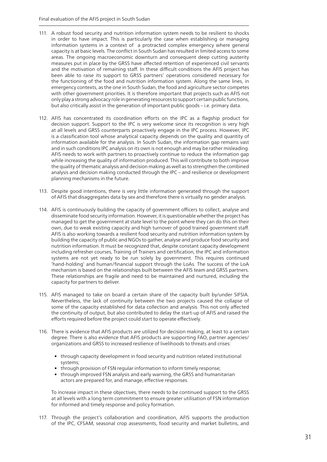- 111. A robust food security and nutrition information system needs to be resilient to shocks in order to have impact. This is particularly the case when establishing or managing information systems in a context of a protracted complex emergency where general capacity is at basic levels. The conflict in South Sudan has resulted in limited access to some areas. The ongoing macroeconomic downturn and consequent deep cutting austerity measures put in place by the GRSS have affected retention of experienced civil servants and the motivation of remaining staff. In these difficult conditions the AFIS project has been able to raise its support to GRSS partners' operations considered necessary for the functioning of the food and nutrition information system. Along the same lines, in emergency contexts, as the one in South Sudan, the food and agriculture sector competes with other government priorities. It is therefore important that projects such as AFIS not only play a strong advocacy role in generating resources to support certain public functions, but also critically assist in the generation of important public goods – i.e. primary data.
- 112. AFIS has concentrated its coordination efforts on the IPC as a flagship product for decision support. Support to the IPC is very welcome since its recognition is very high at all levels and GRSS counterparts proactively engage in the IPC process. However, IPC is a classification tool whose analytical capacity depends on the quality and quantity of information available for the analysis. In South Sudan, the information gap remains vast and in such conditions IPC analysis on its own is not enough and may be rather misleading. AFIS needs to work with partners to proactively continue to reduce the information gap while increasing the quality of information produced. This will contribute to both improve the quality of thematic analysis and decision making as well as to strengthen the combined analysis and decision making conducted through the IPC – and resilience or development planning mechanisms in the future.
- 113. Despite good intentions, there is very little information generated through the support of AFIS that disaggregates data by sex and therefore there is virtually no gender analysis.
- 114. AFIS is continuously building the capacity of government officers to collect, analyse and disseminate food security information. However, it is questionable whether the project has managed to get the government at state level to the point where they can do this on their own, due to weak existing capacity and high turnover of good trained government staff. AFIS is also working towards a resilient food security and nutrition information system by building the capacity of public and NGOs to gather, analyse and produce food security and nutrition information. It must be recognized that, despite constant capacity development including refresher courses, Training of Trainers and certification, the IPC and information systems are not yet ready to be run solely by government. This requires continued 'hand-holding' and human/financial support through the LoAs. The success of the LoA mechanism is based on the relationships built between the AFIS team and GRSS partners. These relationships are fragile and need to be maintained and nurtured, including the capacity for partners to deliver.
- 115. AFIS managed to take on board a certain share of the capacity built by/under SIFSIA. Nevertheless, the lack of continuity between the two projects caused the collapse of some of the capacity established for data collection and analysis. This not only affected the continuity of output, but also contributed to delay the start-up of AFIS and raised the efforts required before the project could start to operate effectively.
- 116. There is evidence that AFIS products are utilized for decision making, at least to a certain degree. There is also evidence that AFIS products are supporting FAO, partner agencies/ organizations and GRSS to increased resilience of livelihoods to threats and crises:
	- through capacity development in food security and nutrition related institutional systems;
	- through provision of FSN regular information to inform timely response;
	- through improved FSN analysis and early warning, the GRSS and humanitarian actors are prepared for, and manage, effective responses.

To increase impact in these objectives, there needs to be continued support to the GRSS at all levels with a long term commitment to ensure greater utilisation of FSN information for informed and timely response and policy formation.

117. Through the project's collaboration and coordination, AFIS supports the production of the IPC, CFSAM, seasonal crop assessments, food security and market bulletins, and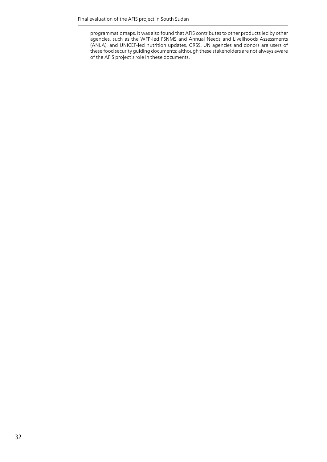programmatic maps. It was also found that AFIS contributes to other products led by other agencies, such as the WFP-led FSNMS and Annual Needs and Livelihoods Assessments (ANLA), and UNICEF-led nutrition updates. GRSS, UN agencies and donors are users of these food security guiding documents; although these stakeholders are not always aware of the AFIS project's role in these documents.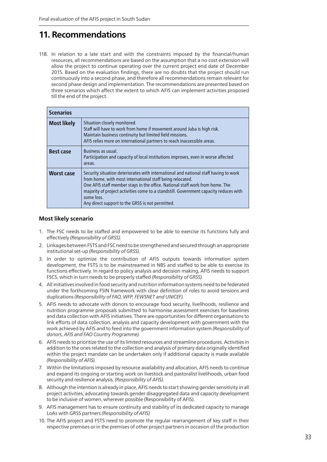## **11. Recommendations**

118. In relation to a late start and with the constraints imposed by the financial/human resources, all recommendations are based on the assumption that a no cost extension will allow the project to continue operating over the current project end date of December 2015. Based on the evaluation findings, there are no doubts that the project should run continuously into a second phase, and therefore all recommendations remain relevant for second phase design and implementation. The recommendations are presented based on three scenarios which affect the extent to which AFIS can implement activities proposed till the end of the project.

| <b>Scenarios</b>                                                                                                                                                                                                                                                     |                                                                                                                                                                                                                                                                                                                                                                                               |  |
|----------------------------------------------------------------------------------------------------------------------------------------------------------------------------------------------------------------------------------------------------------------------|-----------------------------------------------------------------------------------------------------------------------------------------------------------------------------------------------------------------------------------------------------------------------------------------------------------------------------------------------------------------------------------------------|--|
| <b>Most likely</b><br>Situation closely monitored.<br>Staff will have to work from home if movement around Juba is high risk.<br>Maintain business continuity but limited field missions.<br>AFIS relies more on international partners to reach inaccessible areas. |                                                                                                                                                                                                                                                                                                                                                                                               |  |
| <b>Best case</b>                                                                                                                                                                                                                                                     | Business as usual.<br>Participation and capacity of local institutions improves, even in worse affected<br>areas.                                                                                                                                                                                                                                                                             |  |
| <b>Worst case</b>                                                                                                                                                                                                                                                    | Security situation deteriorates with international and national staff having to work<br>from home, with most international staff being relocated.<br>One AFIS staff member stays in the office. National staff work from home. The<br>majority of project activities come to a standstill. Government capacity reduces with<br>some loss.<br>Any direct support to the GRSS is not permitted. |  |

#### **Most likely scenario**

- 1. The FSC needs to be staffed and empowered to be able to exercise its functions fully and effectively *(Responsibility of GRSS).*
- 2. Linkages between FSTS and FSC need to be strengthened and secured through an appropriate institutional set-up *(Responsibility of GRSS).*
- 3. In order to optimize the contribution of AFIS outputs towards information system development, the FSTS is to be mainstreamed in NBS and staffed to be able to exercise its functions effectively. In regard to policy analysis and decision making, AFIS needs to support FSCS, which in turn needs to be properly staffed *(Responsibility of GRSS).*
- 4. All initiatives involved in food security and nutrition information systems need to be federated under the forthcoming FSIN framework with clear definition of roles to avoid tensions and duplications *(Responsibility of FAO, WFP, FEWSNET and UNICEF).*
- 5. AFIS needs to advocate with donors to encourage food security, livelihoods, resilience and nutrition programme proposals submitted to harmonise assessment exercises for baselines and data collection with AFIS initiatives. There are opportunities for different organisations to link efforts of data collection, analysis and capacity development with government with the work achieved by AFIS and to feed into the government information system *(Responsibility of donors, AFIS and FAO Country Programme).*
- 6. AFIS needs to prioritize the use of its limited resources and streamline procedures. Activities in addition to the ones related to the collection and analysis of primary data originally identified within the project mandate can be undertaken only if additional capacity is made available *(Responsibility of AFIS).*
- 7. Within the limitations imposed by resource availability and allocation, AFIS needs to continue and expand its ongoing or starting work on livestock and pastoralist livelihoods, urban food security and resilience analysis. *(Responsibility of AFIS).*
- 8. Although the intention is already in place, AFIS needs to start showing gender sensitivity in all project activities, advocating towards gender disaggregated data and capacity development to be inclusive of women, wherever possible (Responsibility of AFIS).
- 9. AFIS management has to ensure continuity and stability of its dedicated capacity to manage LoAs with GRSS partners *(Responsibility of AFIS).*
- 10. The AFIS project and FSTS need to promote the regular rearrangement of key staff in their respective premises or in the premises of other project partners in occasion of the production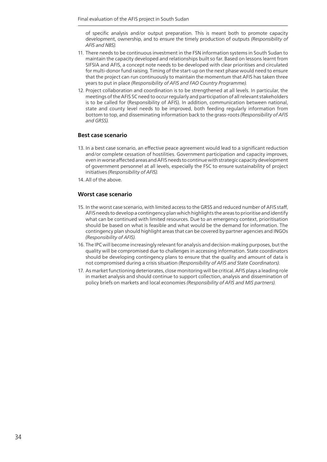of specific analysis and/or output preparation. This is meant both to promote capacity development, ownership, and to ensure the timely production of outputs *(Responsibility of AFIS and NBS).*

- 11. There needs to be continuous investment in the FSN information systems in South Sudan to maintain the capacity developed and relationships built so far. Based on lessons learnt from SIFSIA and AFIS, a concept note needs to be developed with clear prioritises and circulated for multi-donor fund raising. Timing of the start-up on the next phase would need to ensure that the project can run continuously to maintain the momentum that AFIS has taken three years to put in place *(Responsibility of AFIS and FAO Country Programme).*
- 12. Project collaboration and coordination is to be strengthened at all levels. In particular, the meetings of the AFIS SC need to occur regularly and participation of all relevant stakeholders is to be called for (Responsibility of AFIS). In addition, communication between national, state and county level needs to be improved, both feeding regularly information from bottom to top, and disseminating information back to the grass-roots *(Responsibility of AFIS and GRSS).*

#### **Best case scenario**

- 13. In a best case scenario, an effective peace agreement would lead to a significant reduction and/or complete cessation of hostilities. Government participation and capacity improves, even in worse affected areas and AFIS needs to continue with strategic capacity development of government personnel at all levels, especially the FSC to ensure sustainability of project initiatives *(Responsibility of AFIS).*
- 14. All of the above.

#### **Worst case scenario**

- 15. In the worst case scenario, with limited access to the GRSS and reduced number of AFIS staff, AFIS needs to develop a contingency plan which highlights the areas to prioritise and identify what can be continued with limited resources. Due to an emergency context, prioritisation should be based on what is feasible and what would be the demand for information. The contingency plan should highlight areas that can be covered by partner agencies and INGOs *(Responsibility of AFIS).*
- 16. The IPC will become increasingly relevant for analysis and decision-making purposes, but the quality will be compromised due to challenges in accessing information. State coordinators should be developing contingency plans to ensure that the quality and amount of data is not compromised during a crisis situation *(Responsibility of AFIS and State Coordinators).*
- 17. As market functioning deteriorates, close monitoring will be critical. AFIS plays a leading role in market analysis and should continue to support collection, analysis and dissemination of policy briefs on markets and local economies *(Responsibility of AFIS and MIS partners).*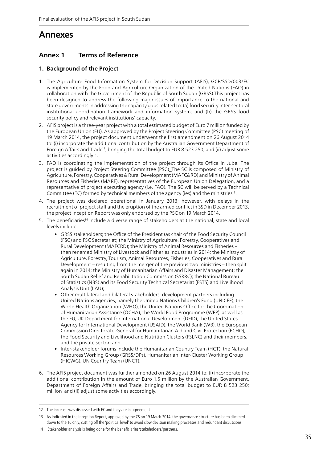## **Annexes**

## **Annex 1 Terms of Reference**

## **1. Background of the Project**

- 1. The Agriculture Food Information System for Decision Support (AFIS), GCP/SSD/003/EC is implemented by the Food and Agriculture Organization of the United Nations (FAO) in collaboration with the Government of the Republic of South Sudan (GRSS).This project has been designed to address the following major issues of importance to the national and state governments in addressing the capacity gaps related to: (a) food security inter-sectoral institutional coordination framework and information system; and (b) the GRSS food security policy and relevant institutions' capacity.
- 2. AFIS project is a three-year project with a total estimated budget of Euro 7 million funded by the European Union (EU). As approved by the Project Steering Committee (PSC) meeting of 19 March 2014, the project document underwent the first amendment on 26 August 2014 to: (i) incorporate the additional contribution by the Australian Government Department of Foreign Affairs and Trade<sup>12</sup>, bringing the total budget to EUR 8 523 250; and (ii) adjust some activities accordingly 1.
- 3. FAO is coordinating the implementation of the project through its Office in Juba. The project is guided by Project Steering Committee (PSC)\_The SC is composed of Ministry of Agriculture, Forestry, Cooperatives & Rural Development (MAFC&RD) and Ministry of Animal Resources and Fisheries (MARF), representatives of the European Union Delegation, and a representative of project executing agency (i.e. FAO). The SC will be served by a Technical Committee (TC) formed by technical members of the agency (ies) and the ministries13.
- 4. The project was declared operational in January 2013; however, with delays in the recruitment of project staff and the eruption of the armed conflict in SSD in December 2013, the project Inception Report was only endorsed by the PSC on 19 March 2014.
- 5. The beneficiaries<sup>14</sup> include a diverse range of stakeholders at the national, state and local levels include:
	- GRSS stakeholders; the Office of the President (as chair of the Food Security Council (FSC) and FSC Secretariat; the Ministry of Agriculture, Forestry, Cooperatives and Rural Development (MAFCRD); the Ministry of Animal Resources and Fisheries – then renamed Ministry of Livestock and Fisheries Industries in 2014; the Ministry of Agriculture, Forestry, Tourism, Animal Resources, Fisheries, Cooperatives and Rural Development – resulting from the merger of the previous two ministries – then split again in 2014; the Ministry of Humanitarian Affairs and Disaster Management; the South Sudan Relief and Rehabilitation Commission (SSRRC); the National Bureau of Statistics (NBS) and its Food Security Technical Secretariat (FSTS) and Livelihood Analysis Unit (LAU);
	- Other multilateral and bilateral stakeholders: development partners including United Nations agencies, namely the United Nations Children's Fund (UNICEF), the World Health Organization (WHO), the United Nations Office for the Coordination of Humanitarian Assistance (OCHA), the World Food Programme (WFP), as well as the EU, UK Department for International Development (DFID), the United States Agency for International Development (USAID), the World Bank (WB), the European Commission Directorate-General for Humanitarian Aid and Civil Protection (ECHO), the Food Security and Livelihood and Nutrition Clusters (FSLNC) and their members, and the private sector; and
	- Inter-stakeholder forums include the Humanitarian Country Team (HCT), the Natural Resources Working Group (GRSS/DPs), Humanitarian Inter-Cluster Working Group (HICWG), UN Country Team (UNCT).
- 6. The AFIS project document was further amended on 26 August 2014 to: (i) incorporate the additional contribution in the amount of Euro 1.5 million by the Australian Government, Department of Foreign Affairs and Trade, bringing the total budget to EUR 8 523 250; million and (ii) adjust some activities accordingly.

<sup>12</sup> The increase was discussed with EC and they are in agreement

<sup>13</sup> As indicated in the Inception Report, approved by the CS on 19 March 2014, the governance structure has been slimmed down to the TC only, cutting off the 'political level' to avoid slow decision making processes and redundant discussions.

<sup>14</sup> Stakeholder analysis is being done for the beneficiaries/stakeholders/partners.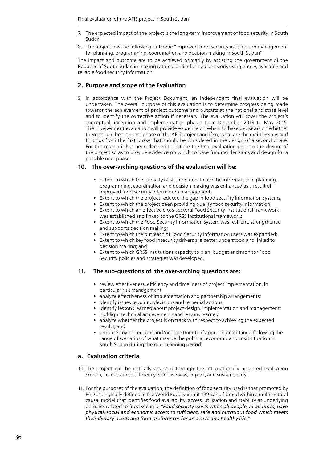- 7. The expected impact of the project is the long-term improvement of food security in South Sudan.
- 8. The project has the following outcome "Improved food security information management for planning, programming, coordination and decision making in South Sudan"

The impact and outcome are to be achieved primarily by assisting the government of the Republic of South Sudan in making rational and informed decisions using timely, available and reliable food security information.

#### **2. Purpose and scope of the Evaluation**

9. In accordance with the Project Document, an independent final evaluation will be undertaken. The overall purpose of this evaluation is to determine progress being made towards the achievement of project outcome and outputs at the national and state level and to identify the corrective action if necessary. The evaluation will cover the project's conceptual, inception and implementation phases from December 2013 to May 2015. The independent evaluation will provide evidence on which to base decisions on whether there should be a second phase of the AFIS project and if so, what are the main lessons and findings from the first phase that should be considered in the design of a second phase. For this reason it has been decided to initiate the final evaluation prior to the closure of the project so as to provide evidence on which to base funding decisions and design for a possible next phase.

#### **10. The over-arching questions of the evaluation will be:**

- Extent to which the capacity of stakeholders to use the information in planning, programming, coordination and decision making was enhanced as a result of improved food security information management;
- Extent to which the project reduced the gap in food security information systems;
- Extent to which the project been providing quality food security information;
- Extent to which an effective cross-sectoral Food Security institutional framework was established and linked to the GRSS institutional framework;
- Extent to which the Food Security information system was resilient, strengthened and supports decision making;
- Extent to which the outreach of Food Security information users was expanded;
- Extent to which key food insecurity drivers are better understood and linked to decision making; and
- Extent to which GRSS institutions capacity to plan, budget and monitor Food Security policies and strategies was developed.

#### **11. The sub-questions of the over-arching questions are:**

- review effectiveness, efficiency and timeliness of project implementation, in particular risk management;
- analyze effectiveness of implementation and partnership arrangements;
- identify issues requiring decisions and remedial actions;
- identify lessons learned about project design, implementation and management;
- highlight technical achievements and lessons learned;
- analyze whether the project is on track with respect to achieving the expected results; and
- propose any corrections and/or adjustments, if appropriate outlined following the range of scenarios of what may be the political, economic and crisis situation in South Sudan during the next planning period.

#### **a. Evaluation criteria**

- 10. The project will be critically assessed through the internationally accepted evaluation criteria, i.e. relevance, efficiency, effectiveness, impact, and sustainability.
- 11. For the purposes of the evaluation, the definition of food security used is that promoted by FAO as originally defined at the World Food Summit 1996 and framed within a multisectoral causal model that identifies food availability, access, utilization and stability as underlying domains related to food security. *"Food security exists when all people, at all times, have physical, social and economic access to sufficient, safe and nutritious food which meets their dietary needs and food preferences for an active and healthy life."*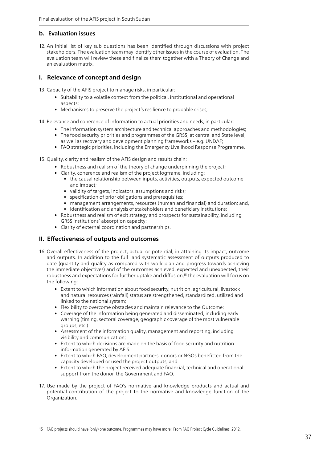### **b. Evaluation issues**

12. An initial list of key sub questions has been identified through discussions with project stakeholders. The evaluation team may identify other issues in the course of evaluation. The evaluation team will review these and finalize them together with a Theory of Change and an evaluation matrix.

### **I. Relevance of concept and design**

13. Capacity of the AFIS project to manage risks, in particular:

- Suitability to a volatile context from the political, institutional and operational aspects;
- Mechanisms to preserve the project's resilience to probable crises:
- 14. Relevance and coherence of information to actual priorities and needs, in particular:
	- The information system architecture and technical approaches and methodologies;
	- The food security priorities and programmes of the GRSS, at central and State level, as well as recovery and development planning frameworks – e.g. UNDAF;
	- FAO strategic priorities, including the Emergency Livelihood Response Programme.

15. Quality, clarity and realism of the AFIS design and results chain:

- Robustness and realism of the theory of change underpinning the project;
- Clarity, coherence and realism of the project logframe, including:
	- the causal relationship between inputs, activities, outputs, expected outcome and impact;
	- validity of targets, indicators, assumptions and risks;
	- specification of prior obligations and prerequisites:
	- management arrangements, resources (human and financial) and duration; and,
	- identification and analysis of stakeholders and beneficiary institutions;
- Robustness and realism of exit strategy and prospects for sustainability, including GRSS institutions' absorption capacity;
- Clarity of external coordination and partnerships.

### **II. Effectiveness of outputs and outcomes**

- 16. Overall effectiveness of the project, actual or potential, in attaining its impact, outcome and outputs. In addition to the full and systematic assessment of outputs produced to date (quantity and quality as compared with work plan and progress towards achieving the immediate objectives) and of the outcomes achieved, expected and unexpected, their robustness and expectations for further uptake and diffusion,<sup>15</sup> the evaluation will focus on the following:
	- Extent to which information about food security, nutrition, agricultural, livestock and natural resources (rainfall) status are strengthened, standardized, utilized and linked to the national system;
	- Flexibility to overcome obstacles and maintain relevance to the Outcome;
	- Coverage of the information being generated and disseminated, including early warning (timing, sectoral coverage, geographic coverage of the most vulnerable groups, etc.)
	- Assessment of the information quality, management and reporting, including visibility and communication;
	- Extent to which decisions are made on the basis of food security and nutrition information generated by AFIS.
	- Extent to which FAO, development partners, donors or NGOs benefitted from the capacity developed or used the project outputs; and
	- Extent to which the project received adequate financial, technical and operational support from the donor, the Government and FAO.
- 17. Use made by the project of FAO's normative and knowledge products and actual and potential contribution of the project to the normative and knowledge function of the Organization.

<sup>15</sup> FAO projects should have (only) one outcome. Programmes may have more.' From FAO Project Cycle Guidelines, 2012.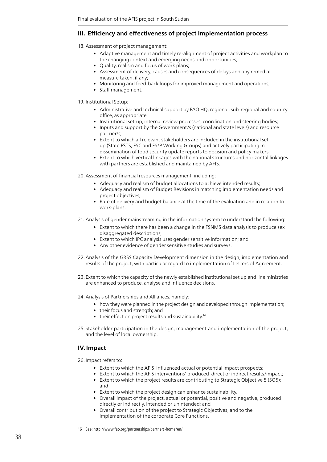### **III. Efficiency and effectiveness of project implementation process**

18. Assessment of project management:

- Adaptive management and timely re-alignment of project activities and workplan to the changing context and emerging needs and opportunities;
- Quality, realism and focus of work plans;
- Assessment of delivery, causes and consequences of delays and any remedial measure taken, if any;
- Monitoring and feed-back loops for improved management and operations;
- Staff management.

19. Institutional Setup:

- Administrative and technical support by FAO HQ, regional, sub-regional and country office, as appropriate;
- Institutional set-up, internal review processes, coordination and steering bodies;
- Inputs and support by the Government/s (national and state levels) and resource partner/s;
- Extent to which all relevant stakeholders are included in the institutional set up (State FSTS, FSC and FS/P Working Groups) and actively participating in dissemination of food security update reports to decision and policy makers;
- Extent to which vertical linkages with the national structures and horizontal linkages with partners are established and maintained by AFIS.

20. Assessment of financial resources management, including:

- Adequacy and realism of budget allocations to achieve intended results;
- Adequacy and realism of Budget Revisions in matching implementation needs and project objectives;
- Rate of delivery and budget balance at the time of the evaluation and in relation to work-plans.
- 21. Analysis of gender mainstreaming in the information system to understand the following:
	- Extent to which there has been a change in the FSNMS data analysis to produce sex disaggregated descriptions;
	- Extent to which IPC analysis uses gender sensitive information; and
	- Any other evidence of gender sensitive studies and surveys.
- 22. Analysis of the GRSS Capacity Development dimension in the design, implementation and results of the project, with particular regard to implementation of Letters of Agreement.
- 23. Extent to which the capacity of the newly established institutional set up and line ministries are enhanced to produce, analyse and influence decisions.
- 24. Analysis of Partnerships and Alliances, namely:
	- how they were planned in the project design and developed through implementation;
	- their focus and strength; and
	- $\bullet$  their effect on project results and sustainability.<sup>16</sup>
- 25. Stakeholder participation in the design, management and implementation of the project, and the level of local ownership.

### **IV. Impact**

26. Impact refers to:

- Extent to which the AFIS influenced actual or potential impact prospects;
- Extent to which the AFIS interventions' produced direct or indirect results/impact;
- Extent to which the project results are contributing to Strategic Objective 5 (SO5); and
- Extent to which the project design can enhance sustainability.
- Overall impact of the project, actual or potential, positive and negative, produced directly or indirectly, intended or unintended; and
- Overall contribution of the project to Strategic Objectives, and to the implementation of the corporate Core Functions.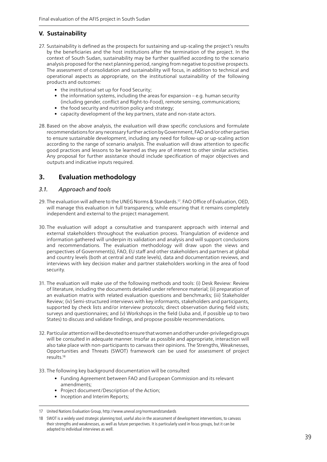## **V. Sustainability**

- 27. Sustainability is defined as the prospects for sustaining and up-scaling the project's results by the beneficiaries and the host institutions after the termination of the project. In the context of South Sudan, sustainability may be further qualified according to the scenario analysis proposed for the next planning period, ranging from negative to positive prospects. The assessment of consolidation and sustainability will focus, in addition to technical and operational aspects as appropriate, on the institutional sustainability of the following products and outcomes:
	- the institutional set up for Food Security;
	- the information systems, including the areas for expansion e.g. human security (including gender, conflict and Right-to-Food), remote sensing, communications;
	- the food security and nutrition policy and strategy;
	- capacity development of the key partners, state and non-state actors.
- 28. Based on the above analysis, the evaluation will draw specific conclusions and formulate recommendations for any necessary further action by Government, FAO and/or other parties to ensure sustainable development, including any need for follow-up or up-scaling action according to the range of scenario analysis. The evaluation will draw attention to specific good practices and lessons to be learned as they are of interest to other similar activities. Any proposal for further assistance should include specification of major objectives and outputs and indicative inputs required.

## **3. Evaluation methodology**

### *3.1. Approach and tools*

- 29. The evaluation will adhere to the UNEG Norms & Standards.17. FAO Office of Evaluation, OED, will manage this evaluation in full transparency, while ensuring that it remains completely independent and external to the project management.
- 30. The evaluation will adopt a consultative and transparent approach with internal and external stakeholders throughout the evaluation process. Triangulation of evidence and information gathered will underpin its validation and analysis and will support conclusions and recommendations. The evaluation methodology will draw upon the views and perspectives of Government(s), FAO, EU staff and other stakeholders and partners at global and country levels (both at central and state levels), data and documentation reviews, and interviews with key decision maker and partner stakeholders working in the area of food security.
- 31. The evaluation will make use of the following methods and tools: (i) Desk Review: Review of literature, including the documents detailed under reference material; (ii) preparation of an evaluation matrix with related evaluation questions and benchmarks; (iii) Stakeholder Review; (iv) Semi-structured interviews with key informants, stakeholders and participants, supported by check lists and/or interview protocols; direct observation during field visits; surveys and questionnaires; and (v) Workshops in the field (Juba and, if possible up to two States) to discuss and validate findings, and propose possible recommendations.
- 32. Particular attention will be devoted to ensure that women and other under-privileged groups will be consulted in adequate manner. Insofar as possible and appropriate, interaction will also take place with non-participants to canvass their opinions. The Strengths, Weaknesses, Opportunities and Threats (SWOT) framework can be used for assessment of project results.18
- 33. The following key background documentation will be consulted:
	- Funding Agreement between FAO and European Commission and its relevant amendments;
	- Project document/Description of the Action;
	- Inception and Interim Reports;

<sup>17</sup> United Nations Evaluation Group, http://www.uneval.org/normsandstandards

<sup>18</sup> SWOT is a widely used strategic planning tool, useful also in the assessment of development interventions, to canvass their strengths and weaknesses, as well as future perspectives. It is particularly used in focus groups, but it can be adapted to individual interviews as well.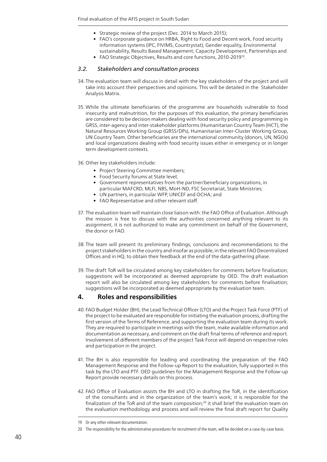- Strategic review of the project (Dec. 2014 to March 2015);
- FAO's corporate guidance on HRBA, Right to Food and Decent work, Food security information systems (IPC, FIVIMS, Countrystat), Gender equality, Environmental sustainability, Results Based Management; Capacity Development, Partnerships and
- FAO Strategic Objectives, Results and core functions, 2010-2019<sup>19</sup>.

#### *3.2. Stakeholders and consultation process*

- 34. The evaluation team will discuss in detail with the key stakeholders of the project and will take into account their perspectives and opinions. This will be detailed in the Stakeholder Analysis Matrix.
- 35. While the ultimate beneficiaries of the programme are households vulnerable to food insecurity and malnutrition, for the purposes of this evaluation, the primary beneficiaries are considered to be decision makers dealing with food security policy and programming in GRSS, inter-agency and inter-stakeholder platforms (Humanitarian Country Team (HCT), the Natural Resources Working Group (GRSS/DPs), Humanitarian Inter-Cluster Working Group, UN Country Team. Other beneficiaries are the international community (donors, UN, NGOs) and local organizations dealing with food security issues either in emergency or in longer term development contexts.
- 36. Other key stakeholders include:
	- Project Steering Committee members;
	- Food Security forums at State level;
	- Government representatives from the partner/beneficiary organizations, in particular MAFCRD, MLFI, NBS, MoH-ND, FSC Secretariat, State Ministries;
	- UN partners, in particular WFP, UNICEF and OCHA; and
	- FAO Representative and other relevant staff.
- 37. The evaluation team will maintain close liaison with: the FAO Office of Evaluation. Although the mission is free to discuss with the authorities concerned anything relevant to its assignment, it is not authorized to make any commitment on behalf of the Government, the donor or FAO.
- 38. The team will present its preliminary findings, conclusions and recommendations to the project stakeholders in the country and insofar as possible, in the relevant FAO Decentralized Offices and in HQ, to obtain their feedback at the end of the data-gathering phase.
- 39. The draft ToR will be circulated among key stakeholders for comments before finalisation; suggestions will be incorporated as deemed appropriate by OED. The draft evaluation report will also be circulated among key stakeholders for comments before finalisation; suggestions will be incorporated as deemed appropriate by the evaluation team.

### **4. Roles and responsibilities**

- 40. FAO Budget Holder (BH), the Lead Technical Officer (LTO) and the Project Task Force (PTF) of the project to be evaluated are responsible for initiating the evaluation process, drafting the first version of the Terms of Reference, and supporting the evaluation team during its work. They are required to participate in meetings with the team, make available information and documentation as necessary, and comment on the draft final terms of reference and report. Involvement of different members of the project Task Force will depend on respective roles and participation in the project.
- 41. The BH is also responsible for leading and coordinating the preparation of the FAO Management Response and the Follow-up Report to the evaluation, fully supported in this task by the LTO and PTF. OED guidelines for the Management Response and the Follow-up Report provide necessary details on this process.
- 42. FAO Office of Evaluation assists the BH and LTO in drafting the ToR, in the identification of the consultants and in the organization of the team's work; it is responsible for the finalization of the ToR and of the team composition;<sup>20</sup> it shall brief the evaluation team on the evaluation methodology and process and will review the final draft report for Quality

<sup>19</sup> Or any other relevant documentation.

<sup>20</sup> The responsibility for the administrative procedures for recruitment of the team, will be decided on a case-by-case basis.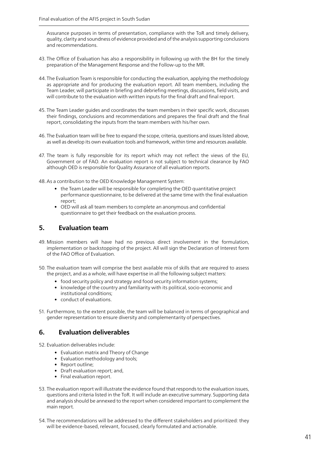Assurance purposes in terms of presentation, compliance with the ToR and timely delivery, quality, clarity and soundness of evidence provided and of the analysis supporting conclusions and recommendations.

- 43. The Office of Evaluation has also a responsibility in following up with the BH for the timely preparation of the Management Response and the Follow-up to the MR.
- 44. The Evaluation Team is responsible for conducting the evaluation, applying the methodology as appropriate and for producing the evaluation report. All team members, including the Team Leader, will participate in briefing and debriefing meetings, discussions, field visits, and will contribute to the evaluation with written inputs for the final draft and final report.
- 45. The Team Leader guides and coordinates the team members in their specific work, discusses their findings, conclusions and recommendations and prepares the final draft and the final report, consolidating the inputs from the team members with his/her own.
- 46. The Evaluation team will be free to expand the scope, criteria, questions and issues listed above, as well as develop its own evaluation tools and framework, within time and resources available.
- 47. The team is fully responsible for its report which may not reflect the views of the EU, Government or of FAO. An evaluation report is not subject to technical clearance by FAO although OED is responsible for Quality Assurance of all evaluation reports.
- 48.As a contribution to the OED Knowledge Management System:
	- the Team Leader will be responsible for completing the OED quantitative project performance questionnaire, to be delivered at the same time with the final evaluation report;
	- OED will ask all team members to complete an anonymous and confidential questionnaire to get their feedback on the evaluation process.

## **5. Evaluation team**

- 49. Mission members will have had no previous direct involvement in the formulation, implementation or backstopping of the project. All will sign the Declaration of Interest form of the FAO Office of Evaluation.
- 50. The evaluation team will comprise the best available mix of skills that are required to assess the project, and as a whole, will have expertise in all the following subject matters:
	- food security policy and strategy and food security information systems;
	- knowledge of the country and familiarity with its political, socio-economic and institutional conditions;
	- conduct of evaluations.
- 51. Furthermore, to the extent possible, the team will be balanced in terms of geographical and gender representation to ensure diversity and complementarity of perspectives.

## **6. Evaluation deliverables**

- 52. Evaluation deliverables include:
	- Evaluation matrix and Theory of Change
	- Evaluation methodology and tools;
	- Report outline;
	- Draft evaluation report; and,
	- Final evaluation report.
- 53. The evaluation report will illustrate the evidence found that responds to the evaluation issues, questions and criteria listed in the ToR. It will include an executive summary. Supporting data and analysis should be annexed to the report when considered important to complement the main report.
- 54. The recommendations will be addressed to the different stakeholders and prioritized: they will be evidence-based, relevant, focused, clearly formulated and actionable.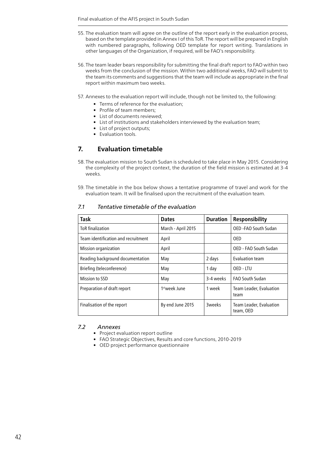- 55. The evaluation team will agree on the outline of the report early in the evaluation process, based on the template provided in Annex I of this ToR. The report will be prepared in English with numbered paragraphs, following OED template for report writing. Translations in other languages of the Organization, if required, will be FAO's responsibility.
- 56. The team leader bears responsibility for submitting the final draft report to FAO within two weeks from the conclusion of the mission. Within two additional weeks, FAO will submit to the team its comments and suggestions that the team will include as appropriate in the final report within maximum two weeks.
- 57. Annexes to the evaluation report will include, though not be limited to, the following:
	- Terms of reference for the evaluation;
	- Profile of team members;
	- List of documents reviewed;
	- List of institutions and stakeholders interviewed by the evaluation team;
	- List of project outputs;
	- Evaluation tools.

## **7. Evaluation timetable**

- 58. The evaluation mission to South Sudan is scheduled to take place in May 2015. Considering the complexity of the project context, the duration of the field mission is estimated at 3-4 weeks.
- 59. The timetable in the box below shows a tentative programme of travel and work for the evaluation team. It will be finalised upon the recruitment of the evaluation team.

| Task                                | <b>Dates</b>              | <b>Duration</b> | Responsibility                       |
|-------------------------------------|---------------------------|-----------------|--------------------------------------|
| <b>ToR</b> finalization             | March - April 2015        |                 | OED - FAO South Sudan                |
| Team identification and recruitment | April                     |                 | 0ED.                                 |
| Mission organization                | April                     |                 | OED - FAO South Sudan                |
| Reading background documentation    | May                       | 2 days          | Evaluation team                      |
| Briefing (teleconference)           | May                       | 1 day           | OFD-ITU                              |
| Mission to SSD                      | May                       | 3-4 weeks       | FAO South Sudan                      |
| Preparation of draft report         | 1 <sup>st</sup> week lune | 1 week          | Team Leader, Evaluation<br>team      |
| Finalisation of the report          | By end June 2015          | 3weeks          | Team Leader, Evaluation<br>team, OED |

#### *7.1 Tentative timetable of the evaluation*

#### *7.2 Annexes*

- Project evaluation report outline
- FAO Strategic Objectives, Results and core functions, 2010-2019
- OED project performance questionnaire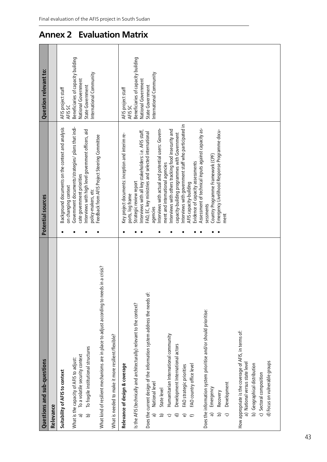| Questions and sub-questions                                                                                                                                                                                                                                                                                                                                                                                                                                                                                                                                                                                       | Potential sources                                                                                                                                                                                                                                                                                                                                                                                                                                                                                                                                       | Question relevant to:                                                         |
|-------------------------------------------------------------------------------------------------------------------------------------------------------------------------------------------------------------------------------------------------------------------------------------------------------------------------------------------------------------------------------------------------------------------------------------------------------------------------------------------------------------------------------------------------------------------------------------------------------------------|---------------------------------------------------------------------------------------------------------------------------------------------------------------------------------------------------------------------------------------------------------------------------------------------------------------------------------------------------------------------------------------------------------------------------------------------------------------------------------------------------------------------------------------------------------|-------------------------------------------------------------------------------|
| Relevance                                                                                                                                                                                                                                                                                                                                                                                                                                                                                                                                                                                                         |                                                                                                                                                                                                                                                                                                                                                                                                                                                                                                                                                         |                                                                               |
| Suitability of AFIS to context                                                                                                                                                                                                                                                                                                                                                                                                                                                                                                                                                                                    | Background documents on the context and analysis<br>on changing context                                                                                                                                                                                                                                                                                                                                                                                                                                                                                 | AFIS project staff<br>AFIS SC                                                 |
| To fragile institutional structures<br>To a volatile security context<br>What is the capacity of AFIS to adjust:<br>ನ<br>$\widehat{\mathbf{p}}$                                                                                                                                                                                                                                                                                                                                                                                                                                                                   | Government documents/strategies/ plans that indi-<br>Interviews with high level government officers, aid<br>cate government priorities                                                                                                                                                                                                                                                                                                                                                                                                                  | Beneficiaries of capacity building<br>National Government<br>State Government |
| What kind of resilient mechanisms are in place to adjust according to needs in a crisis?                                                                                                                                                                                                                                                                                                                                                                                                                                                                                                                          | Feedback from AFIS Project Steering Committee<br>policy-makers, etc                                                                                                                                                                                                                                                                                                                                                                                                                                                                                     | International Community                                                       |
| What is needed to make it more resilient/flexible?                                                                                                                                                                                                                                                                                                                                                                                                                                                                                                                                                                |                                                                                                                                                                                                                                                                                                                                                                                                                                                                                                                                                         |                                                                               |
| Relevance of design & coverage                                                                                                                                                                                                                                                                                                                                                                                                                                                                                                                                                                                    | Key project documents: inception and interim re-<br>ports, log frame                                                                                                                                                                                                                                                                                                                                                                                                                                                                                    | AFIS project staff<br>AFIS SC                                                 |
| is the AFIS (technically and architecturally) relevant to the context?                                                                                                                                                                                                                                                                                                                                                                                                                                                                                                                                            | interviews with all key stakeholders: i.e. AFIS staff,<br>Strategic review report                                                                                                                                                                                                                                                                                                                                                                                                                                                                       | Beneficiaries of capacity building<br>National Government                     |
| Does the current design of the information system address the needs of:<br>Does the information system prioritise and/or should prioritise:<br>How appropriate is the coverage of AFIS, in terms of:<br>Humanitarian International community<br>Development International actors<br>a) National versus state level<br>b) Geographical distribution<br>FAO country office level<br>FAO strategic priorities<br>c) Sectoral composition<br>National level<br>Development<br>Emergency<br>State level<br>Recovery<br>ನ<br>$\widehat{\omega}$<br>ি<br>$\widehat{\mathtt{c}}$<br>$\widehat{\mathbf{e}}$<br>6<br>G<br>₽ | Interviews with government staff who participated in<br>Assessment of technical inputs against capacity as-<br>Interviews with actual and potential users: Govern-<br>Interviews with others tracking food insecurity and<br>Emergency Livelihood Response Programme docu-<br>FAO, EC, key ministries and selected international<br>capacity-building programmes with Government<br>Country Programme Framework (CPF)<br>Evidence of capacity assessments<br>ment and international agencies<br>AFIS capacity-building<br>sessments<br>agencies<br>ment | International Community<br>State Government                                   |
| d) Focus on vulnerable groups                                                                                                                                                                                                                                                                                                                                                                                                                                                                                                                                                                                     |                                                                                                                                                                                                                                                                                                                                                                                                                                                                                                                                                         |                                                                               |

# **Annex 2 Evaluation Matrix**

Final evaluation of the AFIS project in South Sudan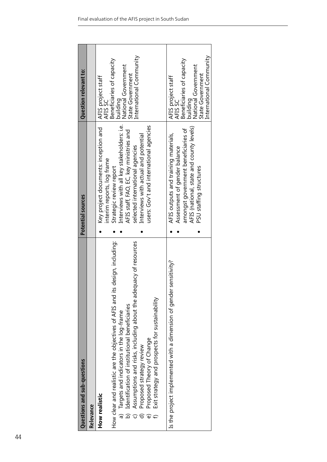| Questions and sub-questions                                                                                              | Potential sources                                                          | <b>Question relevant to:</b>                                 |  |
|--------------------------------------------------------------------------------------------------------------------------|----------------------------------------------------------------------------|--------------------------------------------------------------|--|
| Relevance                                                                                                                |                                                                            |                                                              |  |
| How realistic                                                                                                            | Key project documents: inception and<br>interim reports, log frame         | AFIS project staff<br>AFIS SC                                |  |
| How clear and realistic are the objectives of AFIS and its design, including:<br>Targets and indicators in the log-frame | Interviews with all key stakeholders: i.e.<br>Strategic review report      | Beneficiaries of capacity<br>National Government<br>building |  |
| Assumptions and risks, including about the adequacy of resources<br>Identification of institutional beneficiaries        | AFIS staff, FAO, EC, key ministries and<br>selected international agencies | International Community<br>State Government                  |  |
| Proposed strategy review                                                                                                 | Interviews with actual and potential                                       |                                                              |  |
| Proposed Theory of Change<br>ම                                                                                           | users: Gov't and international agencies                                    |                                                              |  |
| Exit strategy and prospects for sustainability                                                                           |                                                                            |                                                              |  |
| sensitivity?<br>Is the project implemented with a dimension of gender                                                    | AFIS outputs and training materials,                                       | AFIS project staff<br>AFIS SC                                |  |
|                                                                                                                          | Assessment of gender balance                                               |                                                              |  |
|                                                                                                                          | amongst government beneficiaries of                                        | Beneficiaries of capacity                                    |  |
|                                                                                                                          | AFIS (national, state and county levels)                                   | National Government<br>building                              |  |
|                                                                                                                          | PSU staffing structures                                                    | State Government                                             |  |
|                                                                                                                          |                                                                            | International Community                                      |  |
|                                                                                                                          |                                                                            |                                                              |  |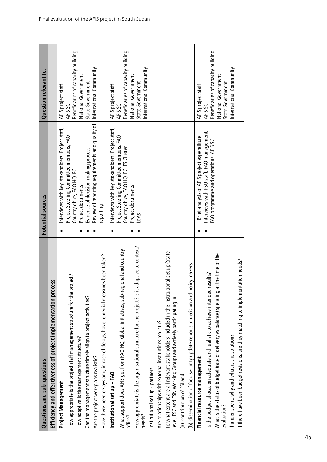| Questions and sub-questions                                                                                                                                 | Potential sources                                                                 | Question relevant to:                         |  |
|-------------------------------------------------------------------------------------------------------------------------------------------------------------|-----------------------------------------------------------------------------------|-----------------------------------------------|--|
| cess<br>Efficiency and effectiveness of project implementation pro                                                                                          |                                                                                   |                                               |  |
| Project Management                                                                                                                                          | Interviews with key stakeholders: Project staff,                                  | AFIS project staff                            |  |
| How appropriate is the project staff management structure for the project?                                                                                  | Project Steering Committee members, FAO<br>Country office, FAO HQ, EC             | Beneficiaries of capacity building<br>AFIS SC |  |
| How adaptive is the management structure?                                                                                                                   | Project documents                                                                 | National Government                           |  |
| Can the management structure timely align to project activities?                                                                                            | Evidence of decision-making process                                               | State Government                              |  |
| Are the project workplans realistic?                                                                                                                        | Review of reporting requirements and quality of                                   | International Community                       |  |
| Have there been delays and, in case of delays, have remedial measures been taken?                                                                           | reporting                                                                         |                                               |  |
| Institutional set up - FAO                                                                                                                                  | Interviews with key stakeholders: Project staff,                                  | AFIS project staff<br>AFIS SC                 |  |
| What support does AFIS get from FAO HQ, Global initiatives, sub-regional and country                                                                        | Project Steering Committee members, FAO<br>Country office, FAO HQ, EC, FS Cluster | Beneficiaries of capacity building            |  |
| office?                                                                                                                                                     | Project documents                                                                 | National Government                           |  |
| adaptive to context/<br>How appropriate is the organisational structure for the project? Is it<br>needs?                                                    | LoAs                                                                              | International Community<br>State Government   |  |
| Institutional set up - partners                                                                                                                             |                                                                                   |                                               |  |
| Are relationships with external institutions realistic?                                                                                                     |                                                                                   |                                               |  |
| To what extent are all relevant stakeholders included in the institutional set up (State<br>level, FSC and FSN Working Group) and actively participating in |                                                                                   |                                               |  |
| (a) contribution of FSI and                                                                                                                                 |                                                                                   |                                               |  |
| (b) dissemination of food security update reports to decision and policy makers                                                                             |                                                                                   |                                               |  |
| Financial resource management                                                                                                                               | Brief analysis of AFIS project expenditure                                        | AFIS project staff                            |  |
| Is the budget allocation adequate and realistic to achieve intended results?                                                                                | Interviews with PSU staff, FAO management,                                        | Beneficiaries of capacity building<br>AFIS SC |  |
| What is the status of budget (rate of delivery vs balance) spending at the time of the<br>evaluation?                                                       | FAO programme and operations, AFIS SC                                             | National Government                           |  |
| If under-spent, why and what is the solution?                                                                                                               |                                                                                   | International Community<br>State Government   |  |
| If there have been budget revisions, are they matching to implementation needs?                                                                             |                                                                                   |                                               |  |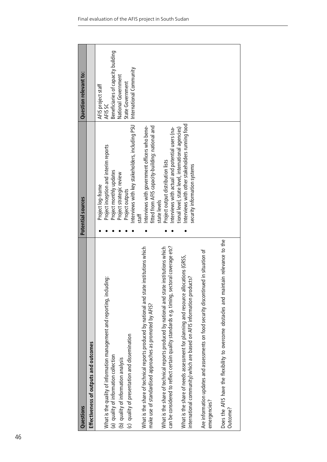| <b>Questions</b>                                                                           | Potential sources                                      | Question relevant to:              |
|--------------------------------------------------------------------------------------------|--------------------------------------------------------|------------------------------------|
| Effectiveness of outputs and outcomes                                                      |                                                        |                                    |
|                                                                                            | Project log-frame                                      | AFIS project staff                 |
| What is the quality of information management and reporting, including:                    | AFIS SC<br>Project inception and interim reports       |                                    |
| (a) quality of information collection                                                      | Project monthly updates                                | Beneficiaries of capacity building |
| (b) quality of information analysis                                                        | Project strategic review                               | National Government                |
| (c) quality of presentation and dissemination                                              | Project outputs                                        | State Government                   |
|                                                                                            | nterviews with key stakeholders, including PSU         | International Community            |
| What is the share of technical reports produced by national and state institutions which   | Interviews with government officers who bene-<br>staff |                                    |
| make use of standardised approaches as promoted by AFIS?                                   | fitted from AFIS capacity-building: national and       |                                    |
|                                                                                            | state levels                                           |                                    |
| What is the share of technical reports produced by national and state institutions which   | Project output distribution lists                      |                                    |
| can be considered to reflect certain quality standards e.g. timing, sectoral coverage etc? | nterviews with actual and potential users (na-         |                                    |
|                                                                                            | ional level, state level, international agencies)      |                                    |
| ocations (GRSS,<br>What is the share of needs assessment for planning and resource al      | nterviews with other stakeholders running food         |                                    |
| international community) which are based on AFIS information products?                     | security information systems                           |                                    |
|                                                                                            |                                                        |                                    |
| Are information updates and assessments on food security discontinued in situation of      |                                                        |                                    |
| emergencies?                                                                               |                                                        |                                    |
| Does the AFIS have the flexibility to overcome obstacles and maintain relevance to the     |                                                        |                                    |
| Outcome?                                                                                   |                                                        |                                    |
|                                                                                            |                                                        |                                    |
|                                                                                            |                                                        |                                    |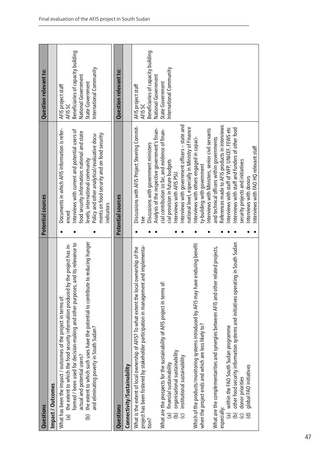| Questions                                                                                                                                                                                                                                                                                                                                                                                                                            | Potential sources                                                                                                                                                                                                                                                                                         | Question relevant to:                                                                                                                     |
|--------------------------------------------------------------------------------------------------------------------------------------------------------------------------------------------------------------------------------------------------------------------------------------------------------------------------------------------------------------------------------------------------------------------------------------|-----------------------------------------------------------------------------------------------------------------------------------------------------------------------------------------------------------------------------------------------------------------------------------------------------------|-------------------------------------------------------------------------------------------------------------------------------------------|
| Impact / Outcomes                                                                                                                                                                                                                                                                                                                                                                                                                    |                                                                                                                                                                                                                                                                                                           |                                                                                                                                           |
| the extent to which such uses have the potential to contribute to reducing hunger<br>formed / been used for decision-making and other purposes, and its relevance to<br>(a) the extent to which the food security information produced by the project has in-<br>What has been the impact / outcomes of the project in terms of:<br>and eliminating poverty in South Sudan?<br>actual and potential users?<br>$\widehat{\mathbf{e}}$ | Documents in which AFIS information is refer-<br>Interviews with current and potential users of<br>food security information: national and state<br>Policy and other analytical/evaluative docu-<br>ments on food security and on food security<br>levels, international community<br>indicators<br>enced | Beneficiaries of capacity building<br>International Community<br>National Government<br>State Government<br>AFIS project staff<br>AFIS SC |
| Questions                                                                                                                                                                                                                                                                                                                                                                                                                            | Potential sources                                                                                                                                                                                                                                                                                         | Question relevant to:                                                                                                                     |
| Connectivity/Sustainability                                                                                                                                                                                                                                                                                                                                                                                                          |                                                                                                                                                                                                                                                                                                           |                                                                                                                                           |
| project has been fostered by stakeholder participation in management and implementa-<br>What is the extent of local ownership of AFIS? To what extent the local ownership of the<br>tion?                                                                                                                                                                                                                                            | Discussions with AFIS Project Steering Commit-<br>Discussions with government ministers                                                                                                                                                                                                                   | Beneficiaries of capacity building<br>AFIS project staff<br>AFIS SC                                                                       |
| What are the prospects for the sustainability of AFIS project in terms of:                                                                                                                                                                                                                                                                                                                                                           | Analysis of the respective government's finan-<br>cial contribution so far, and evidence of finan-                                                                                                                                                                                                        | National Government<br>State Government                                                                                                   |
| (a) financial sustainability                                                                                                                                                                                                                                                                                                                                                                                                         | cial provision in future budgets                                                                                                                                                                                                                                                                          | International Community                                                                                                                   |
| organisational sustainability<br>institutional sustainability<br>$\widehat{\mathbf{e}}$<br>$\overline{C}$                                                                                                                                                                                                                                                                                                                            | Interviews with government officers – state and<br>Interviews with AFIS PSU                                                                                                                                                                                                                               |                                                                                                                                           |
| Which of the products/monitoring systems introduced by AFIS may have enduring benefit<br>when the project ends and which are less likely to?                                                                                                                                                                                                                                                                                         | national level, especially in Ministry of Finance<br>Interviews with others engaged in capaci-<br>ty-building with government                                                                                                                                                                             |                                                                                                                                           |
| What are the complementarities and synergies between AFIS and other related projects,                                                                                                                                                                                                                                                                                                                                                | Interviews with Ministers, senior civil servants<br>and technical officers within governments                                                                                                                                                                                                             |                                                                                                                                           |
| other food security information systems and initiatives operating in South Sudan<br>(a) within the FAO South Sudan programme<br>especially:<br>$\widehat{e}$                                                                                                                                                                                                                                                                         | References made to AFIS products in interviews<br>Interviews with staff of WFP, UNICEF, FEWS etc<br>Interviews with staff and funders of other food                                                                                                                                                       |                                                                                                                                           |
| global FAO initiatives<br>donor priorities<br>ਰਿ<br>$\mathbf{\widehat{c}}$                                                                                                                                                                                                                                                                                                                                                           | Interviews with FAO HQ relevant staff<br>security projects and initiatives<br>Interviews with donors                                                                                                                                                                                                      |                                                                                                                                           |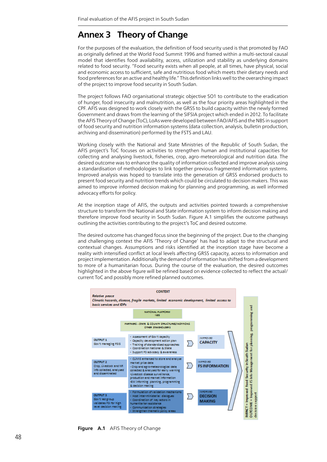## **Annex 3 Theory of Change**

For the purposes of the evaluation, the definition of food security used is that promoted by FAO as originally defined at the World Food Summit 1996 and framed within a multi-sectoral causal model that identifies food availability, access, utilization and stability as underlying domains related to food security. "Food security exists when all people, at all times, have physical, social and economic access to sufficient, safe and nutritious food which meets their dietary needs and food preferences for an active and healthy life." This definition links well to the overarching impact of the project to improve food security in South Sudan.

The project follows FAO organisational strategic objective SO1 to contribute to the eradication of hunger, food insecurity and malnutrition, as well as the four priority areas highlighted in the CPF. AFIS was designed to work closely with the GRSS to build capacity within the newly formed Government and draws from the learning of the SIFSIA project which ended in 2012. To facilitate the AFIS Theory of Change (ToC), LoAs were developed between FAO/AFIS and the NBS in support of food security and nutrition information systems (data collection, analysis, bulletin production, archiving and dissemination) performed by the FSTS and LAU.

Working closely with the National and State Ministries of the Republic of South Sudan, the AFIS project's ToC focuses on activities to strengthen human and institutional capacities for collecting and analysing livestock, fisheries, crop, agro-meteorological and nutrition data. The desired outcome was to enhance the quality of information collected and improve analysis using a standardisation of methodologies to link together previous fragmented information systems. Improved analysis was hoped to translate into the generation of GRSS endorsed products to present food security and nutrition trends which could be circulated to decision makers. This was aimed to improve informed decision making for planning and programming, as well informed advocacy efforts for policy.

At the inception stage of AFIS, the outputs and activities pointed towards a comprehensive structure to transform the National and State information system to inform decision making and therefore improve food security in South Sudan. Figure A.1 simplifies the outcome pathways outlining the activities contributing to the project's ToC and desired outcome.

The desired outcome has changed focus since the beginning of the project. Due to the changing and challenging context the AFIS 'Theory of Change' has had to adapt to the structural and contextual changes. Assumptions and risks identified at the inception stage have become a reality with intensified conflict at local levels affecting GRSS capacity, access to information and project implementation. Additionally the demand of information has shifted from a development to more of a humanitarian focus. During the course of the evaluation, the desired outcomes highlighted in the above figure will be refined based on evidence collected to reflect the actual/ current ToC and possibly more refined planned outcomes.



**Figure A.1** AFIS Theory of Change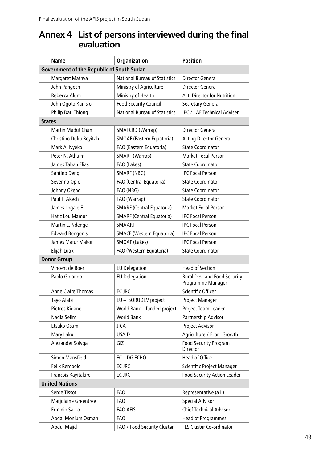## **Annex 4 List of persons interviewed during the final evaluation**

|               | <b>Name</b>                                      | Organization                         | <b>Position</b>                                   |
|---------------|--------------------------------------------------|--------------------------------------|---------------------------------------------------|
|               | <b>Government of the Republic of South Sudan</b> |                                      |                                                   |
|               | Margaret Mathya                                  | <b>National Bureau of Statistics</b> | Director General                                  |
|               | John Pangech                                     | Ministry of Agriculture              | Director General                                  |
|               | Rebecca Alum                                     | Ministry of Health                   | Act. Director for Nutrition                       |
|               | John Ogoto Kanisio                               | <b>Food Security Council</b>         | Secretary General                                 |
|               | Philip Dau Thiong                                | <b>National Bureau of Statistics</b> | <b>IPC / LAF Technical Adviser</b>                |
| <b>States</b> |                                                  |                                      |                                                   |
|               | Martin Madut Chan                                | SMAFCRD (Warrap)                     | Director General                                  |
|               | Christino Duku Boyitah                           | SMOAF (Eastern Equatoria)            | <b>Acting Director General</b>                    |
|               | Mark A. Nyeko                                    | FAO (Eastern Equatoria)              | <b>State Coordinator</b>                          |
|               | Peter N. Athuim                                  | SMARF (Warrap)                       | <b>Market Focal Person</b>                        |
|               | James Taban Elias                                | FAO (Lakes)                          | <b>State Coordinator</b>                          |
|               | Santino Deng                                     | SMARF (NBG)                          | <b>IPC Focal Person</b>                           |
|               | Severino Opio                                    | FAO (Central Equatoria)              | <b>State Coordinator</b>                          |
|               | Johnny Okeng                                     | FAO (NBG)                            | <b>State Coordinator</b>                          |
|               | Paul T. Akech                                    | FAO (Warrap)                         | <b>State Coordinator</b>                          |
|               | James Logale E.                                  | <b>SMARF (Central Equatoria)</b>     | <b>Market Focal Person</b>                        |
|               | Hatiz Lou Mamur                                  | <b>SMARF (Central Equatoria)</b>     | <b>IPC Focal Person</b>                           |
|               | Martin L. Ndenge                                 | SMAARI                               | <b>IPC Focal Person</b>                           |
|               | <b>Edward Bongonis</b>                           | <b>SMACE (Western Equatoria)</b>     | <b>IPC Focal Person</b>                           |
|               | James Mafur Makor                                | SMOAF (Lakes)                        | <b>IPC Focal Person</b>                           |
|               | Elijah Luak                                      | FAO (Western Equatoria)              | <b>State Coordinator</b>                          |
|               | <b>Donor Group</b>                               |                                      |                                                   |
|               | Vincent de Boer                                  | <b>EU Delegation</b>                 | <b>Head of Section</b>                            |
|               | Paolo Girlando                                   | <b>EU Delegation</b>                 | Rural Dev. and Food Security<br>Programme Manager |
|               | Anne Claire Thomas                               | EC JRC                               | Scientific Officer                                |
|               | Tayo Alabi                                       | EU - SORUDEV project                 | Project Manager                                   |
|               | Pietros Kidane                                   | World Bank - funded project          | Project Team Leader                               |
|               | Nadia Selim                                      | <b>World Bank</b>                    | Partnership Advisor                               |
|               | Etsuko Osumi                                     | JICA                                 | Project Advisor                                   |
|               | Mary Laku                                        | <b>USAID</b>                         | Agriculture / Econ. Growth                        |
|               | Alexander Solyga                                 | GIZ                                  | <b>Food Security Program</b><br>Director          |
|               | Simon Mansfield                                  | EC-DG ECHO                           | Head of Office                                    |
|               | Felix Rembold                                    | EC JRC                               | Scientific Project Manager                        |
|               | Francois Kayitakire                              | EC JRC                               | <b>Food Security Action Leader</b>                |
|               | <b>United Nations</b>                            |                                      |                                                   |
|               | Serge Tissot                                     | <b>FAO</b>                           | Representative (a.i.)                             |
|               | Marjolaine Greentree                             | FAO                                  | <b>Special Advisor</b>                            |
|               | Erminio Sacco                                    | FAO AFIS                             | <b>Chief Technical Advisor</b>                    |
|               | Abdal Monium Osman                               | FAO                                  | <b>Head of Programmes</b>                         |
|               | Abdul Majid                                      | FAO / Food Security Cluster          | FLS Cluster Co-ordinator                          |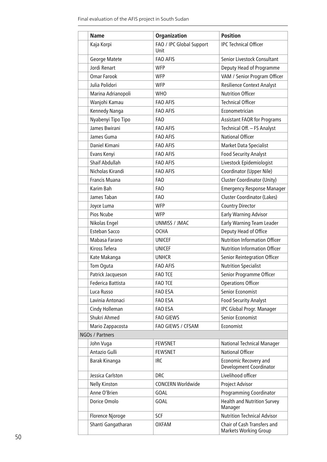|                 | <b>Name</b>           | <b>Organization</b>              | <b>Position</b>                                      |  |  |
|-----------------|-----------------------|----------------------------------|------------------------------------------------------|--|--|
|                 | Kaja Korpi            | FAO / IPC Global Support<br>Unit | <b>IPC Technical Officer</b>                         |  |  |
|                 | George Matete         | <b>FAO AFIS</b>                  | Senior Livestock Consultant                          |  |  |
|                 | Jordi Renart          | <b>WFP</b>                       | Deputy Head of Programme                             |  |  |
|                 | <b>Omar Farook</b>    | <b>WFP</b>                       | VAM / Senior Program Officer                         |  |  |
|                 | Julia Polidori        | <b>WFP</b>                       | <b>Resilience Context Analyst</b>                    |  |  |
|                 | Marina Adrianopoli    | <b>WHO</b>                       | <b>Nutrition Officer</b>                             |  |  |
|                 | Wanjohi Kamau         | <b>FAO AFIS</b>                  | <b>Technical Officer</b>                             |  |  |
|                 | Kennedy Nanga         | <b>FAO AFIS</b>                  | Econometrician                                       |  |  |
|                 | Nyabenyi Tipo Tipo    | FAO                              | <b>Assistant FAOR for Programs</b>                   |  |  |
|                 | James Bwirani         | <b>FAO AFIS</b>                  | Technical Off. - FS Analyst                          |  |  |
|                 | James Guma            | <b>FAO AFIS</b>                  | <b>National Officer</b>                              |  |  |
|                 | Daniel Kimani         | <b>FAO AFIS</b>                  | Market Data Specialist                               |  |  |
|                 | Evans Kenyi           | FAO AFIS                         | <b>Food Security Analyst</b>                         |  |  |
|                 | <b>Shaif Abdullah</b> | <b>FAO AFIS</b>                  | Livestock Epidemiologist                             |  |  |
|                 | Nicholas Kirandi      | <b>FAO AFIS</b>                  | Coordinator (Upper Nile)                             |  |  |
|                 | Francis Muana         | <b>FAO</b>                       | <b>Cluster Coordinator (Unity)</b>                   |  |  |
|                 | Karim Bah             | FA <sub>0</sub>                  | <b>Emergency Response Manager</b>                    |  |  |
|                 | James Taban           | FAO                              | <b>Cluster Coordinator (Lakes)</b>                   |  |  |
|                 | Joyce Luma            | <b>WFP</b>                       | <b>Country Director</b>                              |  |  |
|                 | Pios Ncube            | <b>WFP</b>                       | <b>Early Warning Advisor</b>                         |  |  |
|                 | Nikolas Engel         | <b>UNMISS / JMAC</b>             | Early Warning Team Leader                            |  |  |
|                 | Esteban Sacco         | <b>OCHA</b>                      | Deputy Head of Office                                |  |  |
|                 | Mabasa Farano         | <b>UNICEF</b>                    | <b>Nutrition Information Officer</b>                 |  |  |
|                 | Kiross Tefera         | <b>UNICEF</b>                    | <b>Nutrition Information Officer</b>                 |  |  |
|                 | Kate Makanga          | <b>UNHCR</b>                     | Senior Reintegration Officer                         |  |  |
|                 | Tom Oguta             | <b>FAO AFIS</b>                  | <b>Nutrition Specialist</b>                          |  |  |
|                 | Patrick Jacqueson     | <b>FAO TCE</b>                   | Senior Programme Officer                             |  |  |
|                 | Federica Battista     | <b>FAO TCE</b>                   | <b>Operations Officer</b>                            |  |  |
|                 | Luca Russo            | FAO ESA                          | <b>Senior Economist</b>                              |  |  |
|                 | Lavinia Antonaci      | FAO ESA                          | <b>Food Security Analyst</b>                         |  |  |
|                 | Cindy Holleman        | FAO ESA                          | IPC Global Progr. Manager                            |  |  |
|                 | Shukri Ahmed          | <b>FAO GIEWS</b>                 | Senior Economist                                     |  |  |
|                 | Mario Zappacosta      | FAO GIEWS / CFSAM                | Economist                                            |  |  |
| NGOs / Partners |                       |                                  |                                                      |  |  |
|                 | John Vuga             | <b>FEWSNET</b>                   | National Technical Manager                           |  |  |
|                 | Antazio Gulli         | <b>FEWSNET</b>                   | <b>National Officer</b>                              |  |  |
|                 | Barak Kinanga         | <b>IRC</b>                       | Economic Recovery and<br>Development Coordinator     |  |  |
|                 | Jessica Carlston      | <b>DRC</b>                       | Livelihood officer                                   |  |  |
|                 | <b>Nelly Kinston</b>  | <b>CONCERN Worldwide</b>         | Project Advisor                                      |  |  |
|                 | Anne O'Brien          | <b>GOAL</b>                      | <b>Programming Coordinator</b>                       |  |  |
|                 | Dorice Omolo          | <b>GOAL</b>                      | <b>Health and Nutrition Survey</b><br>Manager        |  |  |
|                 | Florence Njoroge      | <b>SCF</b>                       | <b>Nutrition Technical Advisor</b>                   |  |  |
|                 | Shanti Gangatharan    | <b>OXFAM</b>                     | Chair of Cash Transfers and<br>Markets Working Group |  |  |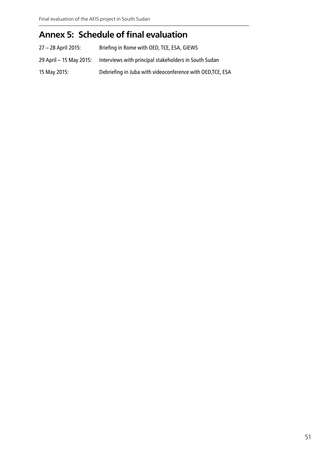## **Annex 5: Schedule of final evaluation**

| 27 – 28 April 2015:     | Briefing in Rome with OED, TCE, ESA, GIEWS                 |
|-------------------------|------------------------------------------------------------|
| 29 April - 15 May 2015: | Interviews with principal stakeholders in South Sudan      |
| 15 May 2015:            | Debriefing in Juba with videoconference with OED, TCE, ESA |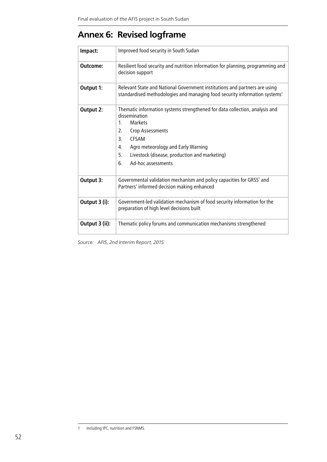## **Annex 6: Revised logframe**

| Impact:        | Improved food security in South Sudan                                                                                                                                                                                                                                                                                   |
|----------------|-------------------------------------------------------------------------------------------------------------------------------------------------------------------------------------------------------------------------------------------------------------------------------------------------------------------------|
| Outcome:       | Resilient food security and nutrition information for planning, programming and<br>decision support                                                                                                                                                                                                                     |
| Output 1:      | Relevant State and National Government institutions and partners are using<br>standardised methodologies and managing food security information systems <sup>1</sup>                                                                                                                                                    |
| Output 2:      | Thematic information systems strengthened for data collection, analysis and<br>dissemination<br><b>Markets</b><br>$1_{\cdot}$<br>Crop Assessments<br>$\mathcal{L}$<br>3.<br><b>CESAM</b><br>Agro meteorology and Early Warning<br>4.<br>5.<br>Livestock (disease, production and marketing)<br>Ad-hoc assessments<br>6. |
| Output 3:      | Governmental validation mechanism and policy capacities for GRSS' and<br>Partners' informed decision making enhanced                                                                                                                                                                                                    |
| Output 3 (i):  | Government-led validation mechanism of food security information for the<br>preparation of high level decisions built                                                                                                                                                                                                   |
| Output 3 (ii): | Thematic policy forums and communication mechanisms strengthened                                                                                                                                                                                                                                                        |

*Source: AFIS, 2nd Interim Report, 2015*

<sup>1</sup> Including IPC, nutrition and FSNMS.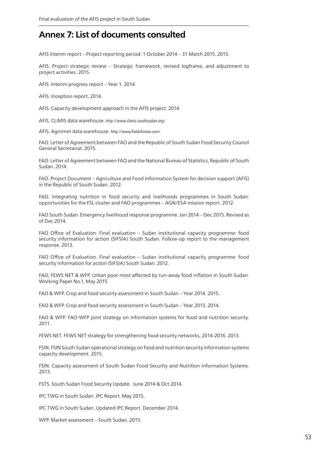## **Annex 7: List of documents consulted**

AFIS Interim report – Project reporting period: 1 October 2014 – 31 March 2015. 2015.

AFIS. Project strategic review – Strategic framework, revised logframe, and adjustment to project activities. 2015.

AFIS. Interim progress report – Year 1. 2014.

AFIS. Inception report. 2014.

AFIS. Capacity development approach in the AFIS project. 2014.

AFIS. CLiMIS data warehouse. http://www.climis-southsudan.org/

AFIS. Agromet data warehouse. http://www.fieldclimate.com/

FAO. Letter of Agreement between FAO and the Republic of South Sudan Food Security Council General Secretariat. 2015.

FAO. Letter of Agreement between FAO and the National Bureau of Statistics, Republic of South Sudan. 2014.

FAO. Project Document – Agriculture and Food Information System for decision support (AFIS) in the Republic of South Sudan. 2012.

FAO. Integrating nutrition in food security and livelihoods programmes in South Sudan: opportunities for the FSL cluster and FAO programmes – AGN/ESA mission report. 2012.

FAO South Sudan. Emergency livelihood response programme. Jan 2014 – Dec 2015. Revised as of Dec 2014.

FAO Office of Evaluation. Final evaluation – Sudan institutional capacity programme: food security information for action (SIFSIA) South Sudan. Follow-up report to the management response. 2013.

FAO Office of Evaluation. Final evaluation – Sudan institutional capacity programme: food security information for action (SIFSIA) South Sudan. 2012.

FAO, FEWS NET & WFP. Urban poor most affected by run-away food inflation in South Sudan. Working Paper No.1, May 2015.

FAO & WFP. Crop and food security assessment in South Sudan – Year 2014. 2015.

FAO & WFP. Crop and food security assessment in South Sudan – Year 2013. 2014.

FAO & WFP. FAO-WFP joint strategy on information systems for food and nutrition security. 2011.

FEWS NET. FEWS NET strategy for strengthening food security networks, 2014-2016. 2013.

FSIN. FSIN South Sudan operational strategy on food and nutrition security information systems capacity development. 2015.

FSIN. Capacity assessment of South Sudan Food Security and Nutrition Information Systems. 2013.

FSTS. South Sudan Food Security Update. June 2014 & Oct 2014.

IPC TWG in South Sudan. IPC Report. May 2015.

IPC TWG in South Sudan. Updated IPC Report. December 2014.

WFP. Market assessment – South Sudan. 2015.